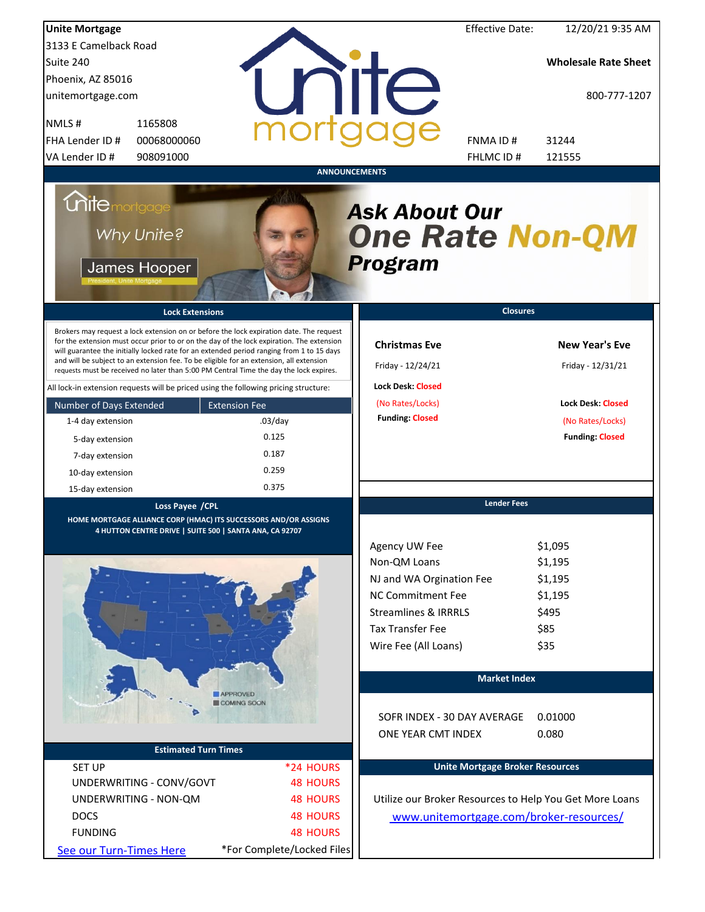| <b>Unite Mortgage</b>                                                                                                                                                                                                                                                                                                                                                                                                                                                                                                                                                                                                                                                                                                                 |                                                                              |                                                                                                                                                                                         | <b>Effective Date:</b><br>12/20/21 9:35 AM                                                                                              |
|---------------------------------------------------------------------------------------------------------------------------------------------------------------------------------------------------------------------------------------------------------------------------------------------------------------------------------------------------------------------------------------------------------------------------------------------------------------------------------------------------------------------------------------------------------------------------------------------------------------------------------------------------------------------------------------------------------------------------------------|------------------------------------------------------------------------------|-----------------------------------------------------------------------------------------------------------------------------------------------------------------------------------------|-----------------------------------------------------------------------------------------------------------------------------------------|
| 3133 E Camelback Road                                                                                                                                                                                                                                                                                                                                                                                                                                                                                                                                                                                                                                                                                                                 |                                                                              |                                                                                                                                                                                         |                                                                                                                                         |
| Suite 240                                                                                                                                                                                                                                                                                                                                                                                                                                                                                                                                                                                                                                                                                                                             |                                                                              |                                                                                                                                                                                         | <b>Wholesale Rate Sheet</b>                                                                                                             |
| Phoenix, AZ 85016                                                                                                                                                                                                                                                                                                                                                                                                                                                                                                                                                                                                                                                                                                                     |                                                                              |                                                                                                                                                                                         |                                                                                                                                         |
| unitemortgage.com                                                                                                                                                                                                                                                                                                                                                                                                                                                                                                                                                                                                                                                                                                                     |                                                                              | <b>TITE</b>                                                                                                                                                                             | 800-777-1207                                                                                                                            |
| 1165808<br>NMLS#                                                                                                                                                                                                                                                                                                                                                                                                                                                                                                                                                                                                                                                                                                                      |                                                                              |                                                                                                                                                                                         |                                                                                                                                         |
| FHA Lender ID #<br>00068000060                                                                                                                                                                                                                                                                                                                                                                                                                                                                                                                                                                                                                                                                                                        |                                                                              | FNMA ID#                                                                                                                                                                                | 31244                                                                                                                                   |
| VA Lender ID #<br>908091000                                                                                                                                                                                                                                                                                                                                                                                                                                                                                                                                                                                                                                                                                                           |                                                                              | FHLMC ID #                                                                                                                                                                              | 121555                                                                                                                                  |
| <b>Unite</b> mortgage<br>Why Unite?<br>James Hooper<br><b>Lock Extensions</b><br>Brokers may request a lock extension on or before the lock expiration date. The request<br>for the extension must occur prior to or on the day of the lock expiration. The extension<br>will guarantee the initially locked rate for an extended period ranging from 1 to 15 days<br>and will be subject to an extension fee. To be eligible for an extension, all extension<br>requests must be received no later than 5:00 PM Central Time the day the lock expires.<br>All lock-in extension requests will be priced using the following pricing structure:<br>Number of Days Extended<br>1-4 day extension<br>5-day extension<br>7-day extension | <b>ANNOUNCEMENTS</b><br><b>Extension Fee</b><br>$.03$ /day<br>0.125<br>0.187 | <b>Ask About Our</b><br><b>One Rate Non-QM</b><br><b>Program</b><br><b>Christmas Eve</b><br>Friday - 12/24/21<br><b>Lock Desk: Closed</b><br>(No Rates/Locks)<br><b>Funding: Closed</b> | <b>Closures</b><br><b>New Year's Eve</b><br>Friday - 12/31/21<br><b>Lock Desk: Closed</b><br>(No Rates/Locks)<br><b>Funding: Closed</b> |
| 10-day extension                                                                                                                                                                                                                                                                                                                                                                                                                                                                                                                                                                                                                                                                                                                      | 0.259                                                                        |                                                                                                                                                                                         |                                                                                                                                         |
| 15-day extension                                                                                                                                                                                                                                                                                                                                                                                                                                                                                                                                                                                                                                                                                                                      | 0.375                                                                        |                                                                                                                                                                                         |                                                                                                                                         |
| Loss Payee / CPL<br>HOME MORTGAGE ALLIANCE CORP (HMAC) ITS SUCCESSORS AND/OR ASSIGNS<br>4 HUTTON CENTRE DRIVE   SUITE 500   SANTA ANA, CA 92707                                                                                                                                                                                                                                                                                                                                                                                                                                                                                                                                                                                       |                                                                              |                                                                                                                                                                                         | <b>Lender Fees</b>                                                                                                                      |
|                                                                                                                                                                                                                                                                                                                                                                                                                                                                                                                                                                                                                                                                                                                                       |                                                                              | Agency UW Fee<br>Non-QM Loans<br>NJ and WA Orgination Fee<br><b>NC Commitment Fee</b><br><b>Streamlines &amp; IRRRLS</b><br><b>Tax Transfer Fee</b><br>Wire Fee (All Loans)             | \$1,095<br>\$1,195<br>\$1,195<br>\$1,195<br>\$495<br>\$85<br>\$35                                                                       |
|                                                                                                                                                                                                                                                                                                                                                                                                                                                                                                                                                                                                                                                                                                                                       |                                                                              |                                                                                                                                                                                         | <b>Market Index</b>                                                                                                                     |
|                                                                                                                                                                                                                                                                                                                                                                                                                                                                                                                                                                                                                                                                                                                                       | <b>APPROVED</b><br>COMING SOON                                               | SOFR INDEX - 30 DAY AVERAGE<br>ONE YEAR CMT INDEX                                                                                                                                       | 0.01000<br>0.080                                                                                                                        |
| <b>Estimated Turn Times</b>                                                                                                                                                                                                                                                                                                                                                                                                                                                                                                                                                                                                                                                                                                           |                                                                              |                                                                                                                                                                                         |                                                                                                                                         |
| <b>SET UP</b>                                                                                                                                                                                                                                                                                                                                                                                                                                                                                                                                                                                                                                                                                                                         | *24 HOURS                                                                    |                                                                                                                                                                                         | <b>Unite Mortgage Broker Resources</b>                                                                                                  |
| UNDERWRITING - CONV/GOVT                                                                                                                                                                                                                                                                                                                                                                                                                                                                                                                                                                                                                                                                                                              | <b>48 HOURS</b>                                                              |                                                                                                                                                                                         |                                                                                                                                         |
| UNDERWRITING - NON-QM                                                                                                                                                                                                                                                                                                                                                                                                                                                                                                                                                                                                                                                                                                                 | <b>48 HOURS</b>                                                              |                                                                                                                                                                                         | Utilize our Broker Resources to Help You Get More Loans                                                                                 |
| <b>DOCS</b>                                                                                                                                                                                                                                                                                                                                                                                                                                                                                                                                                                                                                                                                                                                           | <b>48 HOURS</b>                                                              |                                                                                                                                                                                         | www.unitemortgage.com/broker-resources/                                                                                                 |
| <b>FUNDING</b>                                                                                                                                                                                                                                                                                                                                                                                                                                                                                                                                                                                                                                                                                                                        | <b>48 HOURS</b>                                                              |                                                                                                                                                                                         |                                                                                                                                         |
| See our Turn-Times Here                                                                                                                                                                                                                                                                                                                                                                                                                                                                                                                                                                                                                                                                                                               | *For Complete/Locked Files                                                   |                                                                                                                                                                                         |                                                                                                                                         |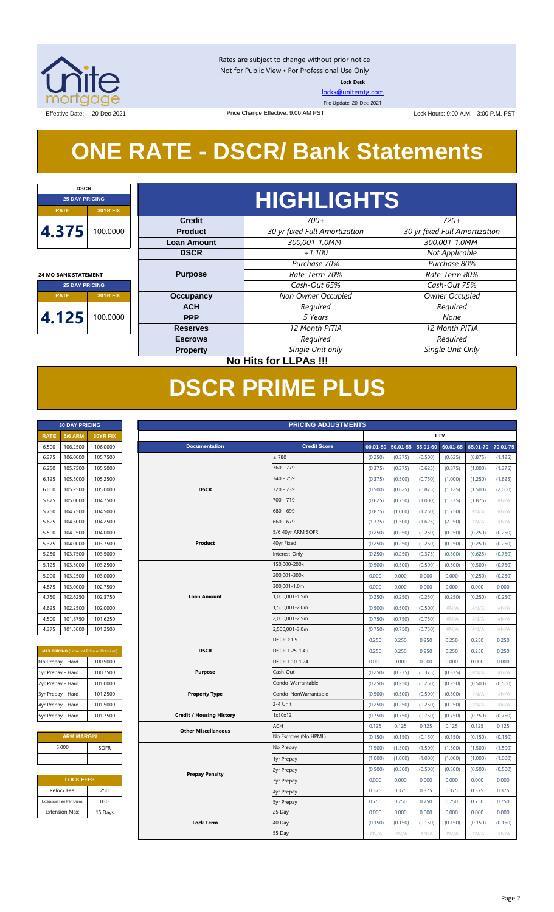

Rates are subject to change without prior notice Not for Public View • For Professional Use Only **Lock Desk**

[locks@unitemtg.com](mailto:locks@unitemtg.com) File Update: 20-Dec-2021

Effective Date: 20-Dec-2021 20:00 P.M. PST Price Change Effective: 9:00 AM PST Lock Hours: 9:00 A.M. - 3:00 P.M. PST

## **ONE RATE - DSCR/ Bank Statements**

Price Change Effective: 9:00 AM PST

| <b>DSCR</b>                 |                 |                    |                               |                               |  |  |  |  |  |  |
|-----------------------------|-----------------|--------------------|-------------------------------|-------------------------------|--|--|--|--|--|--|
| <b>25 DAY PRICING</b>       |                 |                    | <b>HIGHLIGHTS</b>             |                               |  |  |  |  |  |  |
| <b>RATE</b>                 | 30YR FIX        |                    |                               |                               |  |  |  |  |  |  |
|                             |                 | <b>Credit</b>      | $700+$                        | $720+$                        |  |  |  |  |  |  |
| 4.375                       | 100.0000        | <b>Product</b>     | 30 yr fixed Full Amortization | 30 yr fixed Full Amortization |  |  |  |  |  |  |
|                             |                 | <b>Loan Amount</b> | 300.001-1.0MM                 | 300.001-1.0MM                 |  |  |  |  |  |  |
|                             |                 | <b>DSCR</b>        | $+1.100$                      | Not Applicable                |  |  |  |  |  |  |
|                             |                 |                    | Purchase 70%                  | Purchase 80%                  |  |  |  |  |  |  |
| <b>24 MO BANK STATEMENT</b> |                 | <b>Purpose</b>     | Rate-Term 70%                 | Rate-Term 80%                 |  |  |  |  |  |  |
| <b>25 DAY PRICING</b>       |                 |                    | Cash-Out 65%                  | Cash-Out 75%                  |  |  |  |  |  |  |
| <b>RATE</b>                 | <b>30YR FIX</b> | <b>Occupancy</b>   | Non Owner Occupied            | Owner Occupied                |  |  |  |  |  |  |
|                             |                 | <b>ACH</b>         | Required                      | Required                      |  |  |  |  |  |  |
| 4.125                       | 100.0000        | <b>PPP</b>         | 5 Years                       | None                          |  |  |  |  |  |  |
|                             |                 | <b>Reserves</b>    | 12 Month PITIA                | 12 Month PITIA                |  |  |  |  |  |  |
|                             |                 | <b>Escrows</b>     | Required                      | Required                      |  |  |  |  |  |  |
|                             |                 | <b>Property</b>    | Single Unit only              | Single Unit Only              |  |  |  |  |  |  |
|                             |                 |                    | $M = 1124.24 \times 11000$    |                               |  |  |  |  |  |  |

**No Hits for LLPAs !!!**

## **DSCR PRIME PLUS**

| <b>30 DAY PRICING</b> |                |                 |  |  |  |  |  |
|-----------------------|----------------|-----------------|--|--|--|--|--|
| <b>RATE</b>           | <b>5/6 ARM</b> | <b>30YR FIX</b> |  |  |  |  |  |
| 6.500                 | 106.2500       | 106.0000        |  |  |  |  |  |
| 6.375                 | 106.0000       | 105.7500        |  |  |  |  |  |
| 6.250                 | 105.7500       | 105.5000        |  |  |  |  |  |
| 6.125                 | 105.5000       | 105.2500        |  |  |  |  |  |
| 6.000                 | 105.2500       | 105.0000        |  |  |  |  |  |
| 5.875                 | 105.0000       | 104.7500        |  |  |  |  |  |
| 5.750                 | 104.7500       | 104.5000        |  |  |  |  |  |
| 5.625                 | 104.5000       | 104.2500        |  |  |  |  |  |
| 5.500                 | 104.2500       | 104.0000        |  |  |  |  |  |
| 5.375                 | 104.0000       | 103.7500        |  |  |  |  |  |
| 5.250                 | 103.7500       | 103.5000        |  |  |  |  |  |
| 5.125                 | 103.5000       | 103.2500        |  |  |  |  |  |
| 5.000                 | 103.2500       | 103.0000        |  |  |  |  |  |
| 4.875                 | 103.0000       | 102.7500        |  |  |  |  |  |
| 4.750                 | 102.6250       | 102.3750        |  |  |  |  |  |
| 4.625                 | 102.2500       | 102.0000        |  |  |  |  |  |
| 4.500                 | 101.8750       | 101.6250        |  |  |  |  |  |
| 4.375                 | 101.5000       | 101.2500        |  |  |  |  |  |

| <b>MAX PRICING</b> (Lower of Price or Premium) |          |  |  |  |  |  |  |  |
|------------------------------------------------|----------|--|--|--|--|--|--|--|
| No Prepay - Hard                               | 100.5000 |  |  |  |  |  |  |  |
| 1yr Prepay - Hard                              | 100.7500 |  |  |  |  |  |  |  |
| 2yr Prepay - Hard                              | 101.0000 |  |  |  |  |  |  |  |
| 3yr Prepay - Hard                              | 101.2500 |  |  |  |  |  |  |  |
| 4yr Prepay - Hard                              | 101.5000 |  |  |  |  |  |  |  |
| 5yr Prepay - Hard                              | 101.7500 |  |  |  |  |  |  |  |

| <b>ARM MARGIN</b> |             |  |  |  |  |  |
|-------------------|-------------|--|--|--|--|--|
| 5.000             | <b>SOFR</b> |  |  |  |  |  |
|                   |             |  |  |  |  |  |

| <b>LOCK FEES</b>        |         |  |  |  |  |  |  |
|-------------------------|---------|--|--|--|--|--|--|
| Relock Fee:             | .250    |  |  |  |  |  |  |
| Extension Fee Per Diem: | .030    |  |  |  |  |  |  |
| <b>Extension Max:</b>   | 15 Days |  |  |  |  |  |  |

| <b>RATE</b><br>6.500 | <b>5/6 ARM</b>          |                                                |                                 |                      |          |          |          |          |          |          |
|----------------------|-------------------------|------------------------------------------------|---------------------------------|----------------------|----------|----------|----------|----------|----------|----------|
|                      |                         | 30YR FIX                                       | LTV                             |                      |          |          |          |          |          |          |
|                      | 106.2500                | 106.0000                                       | <b>Documentation</b>            | <b>Credit Score</b>  | 00.01-50 | 50.01-55 | 55.01-60 | 60.01-65 | 65.01-70 | 70.01-75 |
| 6.375                | 106.0000                | 105.7500                                       |                                 | $\geq 780$           | (0.250)  | (0.375)  | (0.500)  | (0.625)  | (0.875)  | (1.125)  |
| 6.250                | 105.7500                | 105.5000                                       |                                 | 760 - 779            | (0.375)  | (0.375)  | (0.625)  | (0.875)  | (1.000)  | (1.375)  |
| 6.125                | 105.5000                | 105.2500                                       |                                 | 740 - 759            | (0.375)  | (0.500)  | (0.750)  | (1.000)  | (1.250)  | (1.625)  |
| 6.000                | 105.2500                | 105.0000                                       | <b>DSCR</b>                     | 720 - 739            | (0.500)  | (0.625)  | (0.875)  | (1.125)  | (1.500)  | (2.000)  |
| 5.875                | 105.0000                | 104.7500                                       |                                 | 700 - 719            | (0.625)  | (0.750)  | (1.000)  | (1.375)  | (1.875)  | #N/A     |
| 5.750                | 104.7500                | 104.5000                                       |                                 | 680 - 699            | (0.875)  | (1.000)  | (1.250)  | (1.750)  | #N/A     | #N/A     |
| 5.625                | 104.5000                | 104.2500                                       |                                 | 660 - 679            | (1.375)  | (1.500)  | (1.625)  | (2.250)  | #N/A     | #N/A     |
| 5.500                | 104.2500                | 104.0000                                       |                                 | 5/6 40yr ARM SOFR    | (0.250)  | (0.250)  | (0.250)  | (0.250)  | (0.250)  | (0.250)  |
| 5.375                | 104.0000                | 103.7500                                       | Product                         | 40yr Fixed           | (0.250)  | (0.250)  | (0.250)  | (0.250)  | (0.250)  | (0.250)  |
| 5.250                | 103.7500                | 103.5000                                       |                                 | Interest-Only        | (0.250)  | (0.250)  | (0.375)  | (0.500)  | (0.625)  | (0.750)  |
| 5.125                | 103.5000                | 103.2500                                       |                                 | 150,000-200k         | (0.500)  | (0.500)  | (0.500)  | (0.500)  | (0.500)  | (0.750)  |
| 5.000                | 103.2500                | 103.0000                                       |                                 | 200,001-300k         | 0.000    | 0.000    | 0.000    | 0.000    | (0.250)  | (0.250)  |
| 4.875                | 103.0000                | 102.7500                                       |                                 | 300,001-1.0m         | 0.000    | 0.000    | 0.000    | 0.000    | 0.000    | 0.000    |
| 4.750                | 102.6250                | 102.3750                                       | <b>Loan Amount</b>              | 1,000,001-1.5m       | (0.250)  | (0.250)  | (0.250)  | (0.250)  | (0.250)  | (0.250)  |
| 4.625                | 102.2500                | 102.0000                                       |                                 | 1,500,001-2.0m       | (0.500)  | (0.500)  | (0.500)  | $\#N/A$  | #N/A     | $\#N/A$  |
| 4.500                | 101.8750                | 101.6250                                       |                                 | 2,000,001-2.5m       | (0.750)  | (0.750)  | (0.750)  | #N/A     | #N/A     | #N/A     |
| 4.375                | 101.5000                | 101.2500                                       |                                 | 2,500,001-3.0m       | (0.750)  | (0.750)  | (0.750)  | $\#N/A$  | $\#N/A$  | $\#N/A$  |
|                      |                         |                                                |                                 | $DSCR \geq 1.5$      | 0.250    | 0.250    | 0.250    | 0.250    | 0.250    | 0.250    |
|                      |                         | <b>MAX PRICING</b> (Lower of Price or Premium) | <b>DSCR</b>                     | DSCR 1.25-1.49       | 0.250    | 0.250    | 0.250    | 0.250    | 0.250    | 0.250    |
| No Prepay - Hard     |                         | 100.5000                                       |                                 | DSCR 1.10-1.24       | 0.000    | 0.000    | 0.000    | 0.000    | 0.000    | 0.000    |
| 1yr Prepay - Hard    |                         | 100.7500                                       | <b>Purpose</b>                  | Cash-Out             | (0.250)  | (0.375)  | (0.375)  | (0.375)  | #N/A     | $\#N/A$  |
| 2yr Prepay - Hard    |                         | 101.0000                                       |                                 | Condo-Warrantable    | (0.250)  | (0.250)  | (0.250)  | (0.250)  | (0.500)  | (0.500)  |
| 3yr Prepay - Hard    |                         | 101.2500                                       | <b>Property Type</b>            | Condo-NonWarrantable | (0.500)  | (0.500)  | (0.500)  | (0.500)  | #N/A     | #N/A     |
| 4yr Prepay - Hard    |                         | 101.5000                                       |                                 | 2-4 Unit             | (0.250)  | (0.250)  | (0.250)  | (0.250)  | $\#N/A$  | #N/A     |
| 5yr Prepay - Hard    |                         | 101.7500                                       | <b>Credit / Housing History</b> | 1x30x12              | (0.750)  | (0.750)  | (0.750)  | (0.750)  | (0.750)  | (0.750)  |
|                      |                         |                                                | <b>Other Miscellaneous</b>      | ACH                  | 0.125    | 0.125    | 0.125    | 0.125    | 0.125    | 0.125    |
|                      | <b>ARM MARGIN</b>       |                                                |                                 | No Escrows (No HPML) | (0.150)  | (0.150)  | (0.150)  | (0.150)  | (0.150)  | (0.150)  |
|                      | 5.000                   | <b>SOFR</b>                                    |                                 | No Prepay            | (1.500)  | (1.500)  | (1.500)  | (1.500)  | (1.500)  | (1.500)  |
|                      |                         |                                                |                                 | 1yr Prepay           | (1.000)  | (1.000)  | (1.000)  | (1.000)  | (1.000)  | (1.000)  |
|                      |                         |                                                | <b>Prepay Penalty</b>           | 2yr Prepay           | (0.500)  | (0.500)  | (0.500)  | (0.500)  | (0.500)  | (0.500)  |
|                      | <b>LOCK FEES</b>        |                                                |                                 | 3yr Prepay           | 0.000    | 0.000    | 0.000    | 0.000    | 0.000    | 0.000    |
|                      | Relock Fee:             | .250                                           |                                 | 4yr Prepay           | 0.375    | 0.375    | 0.375    | 0.375    | 0.375    | 0.375    |
|                      | Extension Fee Per Diem: | .030                                           |                                 | <b>5yr Prepay</b>    | 0.750    | 0.750    | 0.750    | 0.750    | 0.750    | 0.750    |
|                      | <b>Extension Max:</b>   | 15 Days                                        |                                 | 25 Day               | 0.000    | 0.000    | 0.000    | 0.000    | 0.000    | 0.000    |
|                      |                         |                                                | <b>Lock Term</b>                | 40 Day               | (0.150)  | (0.150)  | (0.150)  | (0.150)  | (0.150)  | (0.150)  |
|                      |                         |                                                |                                 | 55 Day               | #N/A     | #N/A     | #N/A     | #N/A     | #N/A     | #N/A     |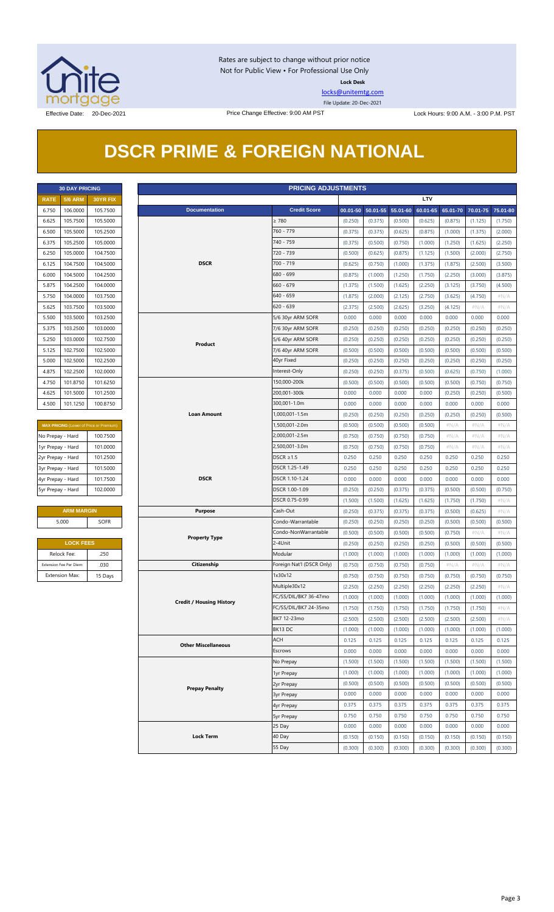

Rates are subject to change without prior notice Not for Public View • For Professional Use Only **Lock Desk**

[locks@unitemtg.com](mailto:locks@unitemtg.com)

File Update: 20-Dec-2021

## **DSCR PRIME & FOREIGN NATIONAL**

|             | <b>30 DAY PRICING</b> |                 |  |  |  |  |  |  |  |
|-------------|-----------------------|-----------------|--|--|--|--|--|--|--|
| <b>RATE</b> | <b>5/6 ARM</b>        | <b>30YR FIX</b> |  |  |  |  |  |  |  |
| 6.750       | 106.0000              | 105.7500        |  |  |  |  |  |  |  |
| 6.625       | 105.7500              | 105.5000        |  |  |  |  |  |  |  |
| 6.500       | 105.5000              | 105.2500        |  |  |  |  |  |  |  |
| 6.375       | 105.2500              | 105.0000        |  |  |  |  |  |  |  |
| 6.250       | 105.0000              | 104.7500        |  |  |  |  |  |  |  |
| 6.125       | 104.7500              | 104.5000        |  |  |  |  |  |  |  |
| 6.000       | 104.5000              | 104.2500        |  |  |  |  |  |  |  |
| 5.875       | 104.2500              | 104.0000        |  |  |  |  |  |  |  |
| 5.750       | 104.0000              | 103.7500        |  |  |  |  |  |  |  |
| 5.625       | 103.7500              | 103.5000        |  |  |  |  |  |  |  |
| 5.500       | 103.5000              | 103.2500        |  |  |  |  |  |  |  |
| 5.375       | 103.2500              | 103.0000        |  |  |  |  |  |  |  |
| 5.250       | 103.0000              | 102.7500        |  |  |  |  |  |  |  |
| 5.125       | 102.7500              | 102.5000        |  |  |  |  |  |  |  |
| 5.000       | 102.5000              | 102.2500        |  |  |  |  |  |  |  |
| 4.875       | 102.2500              | 102,0000        |  |  |  |  |  |  |  |
| 4.750       | 101.8750              | 101.6250        |  |  |  |  |  |  |  |
| 4.625       | 101.5000              | 101.2500        |  |  |  |  |  |  |  |
| 4.500       | 101.1250              | 100.8750        |  |  |  |  |  |  |  |

| <b>MAX PRICING</b> (Lower of Price or Premium) |          |  |  |  |  |  |  |  |
|------------------------------------------------|----------|--|--|--|--|--|--|--|
| No Prepay - Hard                               | 100.7500 |  |  |  |  |  |  |  |
| 1yr Prepay - Hard                              | 101.0000 |  |  |  |  |  |  |  |
| 2yr Prepay - Hard                              | 101.2500 |  |  |  |  |  |  |  |
| 3yr Prepay - Hard                              | 101.5000 |  |  |  |  |  |  |  |
| 4yr Prepay - Hard                              | 101.7500 |  |  |  |  |  |  |  |
| 5yr Prepay - Hard                              | 102.0000 |  |  |  |  |  |  |  |

| <b>ARM MARGIN</b> |             |  |  |  |  |  |
|-------------------|-------------|--|--|--|--|--|
| 5.000             | <b>SOFR</b> |  |  |  |  |  |
|                   |             |  |  |  |  |  |

| <b>LOCK FEES</b>        |         |  |  |  |  |  |  |
|-------------------------|---------|--|--|--|--|--|--|
| Relock Fee:             | .250    |  |  |  |  |  |  |
| Extension Fee Per Diem: | .030    |  |  |  |  |  |  |
| <b>Extension Max:</b>   | 15 Days |  |  |  |  |  |  |

|                   | <b>PRICING ADJUSTMENTS</b><br><b>30 DAY PRICING</b> |                                         |  |                                 |                           |         |                            |         |            |         |                            |         |
|-------------------|-----------------------------------------------------|-----------------------------------------|--|---------------------------------|---------------------------|---------|----------------------------|---------|------------|---------|----------------------------|---------|
| <b>RATE</b>       | <b>5/6 ARM</b>                                      | 30YR FIX                                |  |                                 |                           |         |                            |         | <b>LTV</b> |         |                            |         |
| 6.750             | 106.0000                                            | 105.7500                                |  | <b>Documentation</b>            | <b>Credit Score</b>       |         | 00.01-50 50.01-55 55.01-60 |         | 60.01-65   |         | 65.01-70 70.01-75 75.01-80 |         |
| 6.625             | 105.7500                                            | 105.5000                                |  |                                 | $\geq 780$                | (0.250) | (0.375)                    | (0.500) | (0.625)    | (0.875) | (1.125)                    | (1.750) |
| 6.500             | 105.5000                                            | 105.2500                                |  |                                 | 760 - 779                 | (0.375) | (0.375)                    | (0.625) | (0.875)    | (1.000) | (1.375)                    | (2.000) |
| 6.375             | 105.2500                                            | 105.0000                                |  |                                 | 740 - 759                 | (0.375) | (0.500)                    | (0.750) | (1.000)    | (1.250) | (1.625)                    | (2.250) |
| 6.250             | 105.0000                                            | 104.7500                                |  |                                 | 720 - 739                 | (0.500) | (0.625)                    | (0.875) | (1.125)    | (1.500) | (2.000)                    | (2.750) |
| 6.125             | 104.7500                                            | 104.5000                                |  | <b>DSCR</b>                     | 700 - 719                 | (0.625) | (0.750)                    | (1.000) | (1.375)    | (1.875) | (2.500)                    | (3.500) |
| 6.000             | 104.5000                                            | 104.2500                                |  |                                 | 680 - 699                 | (0.875) | (1.000)                    | (1.250) | (1.750)    | (2.250) | (3.000)                    | (3.875) |
| 5.875             | 104.2500                                            | 104.0000                                |  |                                 | 660 - 679                 | (1.375) | (1.500)                    | (1.625) | (2.250)    | (3.125) | (3.750)                    | (4.500) |
| 5.750             | 104.0000                                            | 103.7500                                |  |                                 | 640 - 659                 | (1.875) | (2.000)                    | (2.125) | (2.750)    | (3.625) | (4.750)                    | $\#N/A$ |
| 5.625             | 103.7500                                            | 103.5000                                |  |                                 | $620 - 639$               | (2.375) | (2.500)                    | (2.625) | (3.250)    | (4.125) | # $N/A$                    | $\#N/A$ |
| 5.500             | 103.5000                                            | 103.2500                                |  |                                 | 5/6 30yr ARM SOFR         | 0.000   | 0.000                      | 0.000   | 0.000      | 0.000   | 0.000                      | 0.000   |
| 5.375             | 103.2500                                            | 103.0000                                |  |                                 |                           | (0.250) | (0.250)                    | (0.250) | (0.250)    | (0.250) | (0.250)                    | (0.250) |
|                   |                                                     |                                         |  |                                 | 7/6 30yr ARM SOFR         |         |                            |         |            |         |                            |         |
| 5.250             | 103.0000                                            | 102.7500                                |  | Product                         | 5/6 40yr ARM SOFR         | (0.250) | (0.250)                    | (0.250) | (0.250)    | (0.250) | (0.250)                    | (0.250) |
| 5.125             | 102.7500                                            | 102.5000                                |  |                                 | 7/6 40yr ARM SOFR         | (0.500) | (0.500)                    | (0.500) | (0.500)    | (0.500) | (0.500)                    | (0.500) |
| 5.000             | 102.5000                                            | 102.2500                                |  |                                 | 40yr Fixed                | (0.250) | (0.250)                    | (0.250) | (0.250)    | (0.250) | (0.250)                    | (0.250) |
| 4.875             | 102.2500                                            | 102.0000                                |  |                                 | Interest-Only             | (0.250) | (0.250)                    | (0.375) | (0.500)    | (0.625) | (0.750)                    | (1.000) |
| 4.750             | 101.8750                                            | 101.6250                                |  |                                 | 150,000-200k              | (0.500) | (0.500)                    | (0.500) | (0.500)    | (0.500) | (0.750)                    | (0.750) |
| 4.625             | 101.5000                                            | 101.2500                                |  |                                 | 200,001-300k              | 0.000   | 0.000                      | 0.000   | 0.000      | (0.250) | (0.250)                    | (0.500) |
| 4.500             | 101.1250                                            | 100.8750                                |  |                                 | 300,001-1.0m              | 0.000   | 0.000                      | 0.000   | 0.000      | 0.000   | 0.000                      | 0.000   |
|                   |                                                     |                                         |  | <b>Loan Amount</b>              | 1,000,001-1.5m            | (0.250) | (0.250)                    | (0.250) | (0.250)    | (0.250) | (0.250)                    | (0.500) |
|                   |                                                     | MAX PRICING (Lower of Price or Premium) |  |                                 | 1,500,001-2.0m            | (0.500) | (0.500)                    | (0.500) | (0.500)    | $\#N/A$ | $\#N/A$                    | $\#N/A$ |
| No Prepay - Hard  |                                                     | 100.7500                                |  |                                 | 2,000,001-2.5m            | (0.750) | (0.750)                    | (0.750) | (0.750)    | # $N/A$ | # $N/A$                    | $\#N/A$ |
| 1yr Prepay - Hard |                                                     | 101.0000                                |  |                                 | 2,500,001-3.0m            | (0.750) | (0.750)                    | (0.750) | (0.750)    | # $N/A$ | # $N/A$                    | $\#N/A$ |
| 2yr Prepay - Hard |                                                     | 101.2500                                |  |                                 | $DSCR \geq 1.5$           | 0.250   | 0.250                      | 0.250   | 0.250      | 0.250   | 0.250                      | 0.250   |
| 3yr Prepay - Hard |                                                     | 101.5000                                |  |                                 | DSCR 1.25-1.49            | 0.250   | 0.250                      | 0.250   | 0.250      | 0.250   | 0.250                      | 0.250   |
| 4yr Prepay - Hard |                                                     | 101.7500                                |  | <b>DSCR</b>                     | DSCR 1.10-1.24            | 0.000   | 0.000                      | 0.000   | 0.000      | 0.000   | 0.000                      | 0.000   |
| 5yr Prepay - Hard |                                                     | 102.0000                                |  |                                 | DSCR 1.00-1.09            | (0.250) | (0.250)                    | (0.375) | (0.375)    | (0.500) | (0.500)                    | (0.750) |
|                   |                                                     |                                         |  |                                 | DSCR 0.75-0.99            | (1.500) | (1.500)                    | (1.625) | (1.625)    | (1.750) | (1.750)                    | $\#N/A$ |
|                   | <b>ARM MARGIN</b>                                   |                                         |  | <b>Purpose</b>                  | Cash-Out                  | (0.250) | (0.375)                    | (0.375) | (0.375)    | (0.500) | (0.625)                    | $\#N/A$ |
|                   | 5.000                                               | <b>SOFR</b>                             |  |                                 | Condo-Warrantable         | (0.250) | (0.250)                    | (0.250) | (0.250)    | (0.500) | (0.500)                    | (0.500) |
|                   |                                                     |                                         |  |                                 | Condo-NonWarrantable      | (0.500) | (0.500)                    | (0.500) | (0.500)    | (0.750) | $\#N/A$                    | #N/A    |
|                   | <b>LOCK FEES</b>                                    |                                         |  | <b>Property Type</b>            | 2-4Unit                   | (0.250) | (0.250)                    | (0.250) | (0.250)    | (0.500) | (0.500)                    | (0.500) |
|                   | Relock Fee:                                         | .250                                    |  |                                 | Modular                   | (1.000) | (1.000)                    | (1.000) | (1.000)    | (1.000) | (1.000)                    | (1.000) |
|                   | Extension Fee Per Diem:                             | .030                                    |  | Citizenship                     | Foreign Nat'l (DSCR Only) | (0.750) | (0.750)                    | (0.750) | (0.750)    | $\#N/A$ | $\#N/A$                    | $\#N/A$ |
|                   | <b>Extension Max:</b>                               | 15 Days                                 |  |                                 | 1x30x12                   | (0.750) | (0.750)                    | (0.750) | (0.750)    | (0.750) | (0.750)                    | (0.750) |
|                   |                                                     |                                         |  |                                 | Multiple30x12             | (2.250) | (2.250)                    | (2.250) | (2.250)    | (2.250) | (2.250)                    | $\#N/A$ |
|                   |                                                     |                                         |  |                                 | FC/SS/DIL/BK7 36-47mo     | (1.000) | (1.000)                    | (1.000) | (1.000)    | (1.000) | (1.000)                    | (1.000) |
|                   |                                                     |                                         |  | <b>Credit / Housing History</b> | FC/SS/DIL/BK7 24-35mo     | (1.750) | (1.750)                    | (1.750) | (1.750)    | (1.750) | (1.750)                    | $\#N/A$ |
|                   |                                                     |                                         |  |                                 | BK7 12-23mo               |         |                            |         |            |         |                            |         |
|                   |                                                     |                                         |  |                                 | BK13 DC                   | (2.500) | (2.500)                    | (2.500) | (2.500)    | (2.500) | (2.500)                    | # $N/A$ |
|                   |                                                     |                                         |  |                                 |                           | (1.000) | (1.000)                    | (1.000) | (1.000)    | (1.000) | (1.000)                    | (1.000) |
|                   |                                                     |                                         |  | <b>Other Miscellaneous</b>      | <b>ACH</b>                | 0.125   | 0.125                      | 0.125   | 0.125      | 0.125   | 0.125                      | 0.125   |
|                   |                                                     |                                         |  |                                 | Escrows                   | 0.000   | 0.000                      | 0.000   | 0.000      | 0.000   | 0.000                      | 0.000   |
|                   |                                                     |                                         |  |                                 | No Prepay                 | (1.500) | (1.500)                    | (1.500) | (1.500)    | (1.500) | (1.500)                    | (1.500) |
|                   |                                                     |                                         |  |                                 | 1yr Prepay                | (1.000) | (1.000)                    | (1.000) | (1.000)    | (1.000) | (1.000)                    | (1.000) |
|                   |                                                     |                                         |  | <b>Prepay Penalty</b>           | 2yr Prepay                | (0.500) | (0.500)                    | (0.500) | (0.500)    | (0.500) | (0.500)                    | (0.500) |
|                   |                                                     |                                         |  |                                 | <b>3yr Prepay</b>         | 0.000   | 0.000                      | 0.000   | 0.000      | 0.000   | 0.000                      | 0.000   |
|                   |                                                     |                                         |  |                                 | 4yr Prepay                | 0.375   | 0.375                      | 0.375   | 0.375      | 0.375   | 0.375                      | 0.375   |
|                   |                                                     |                                         |  |                                 | 5yr Prepay                | 0.750   | 0.750                      | 0.750   | 0.750      | 0.750   | 0.750                      | 0.750   |
|                   |                                                     |                                         |  |                                 | 25 Day                    | 0.000   | 0.000                      | 0.000   | 0.000      | 0.000   | 0.000                      | 0.000   |
|                   |                                                     |                                         |  | <b>Lock Term</b>                | 40 Day                    | (0.150) | (0.150)                    | (0.150) | (0.150)    | (0.150) | (0.150)                    | (0.150) |
|                   |                                                     |                                         |  |                                 | 55 Day                    | (0.300) | (0.300)                    | (0.300) | (0.300)    | (0.300) | (0.300)                    | (0.300) |
|                   |                                                     |                                         |  |                                 |                           |         |                            |         |            |         |                            |         |

#### Page 3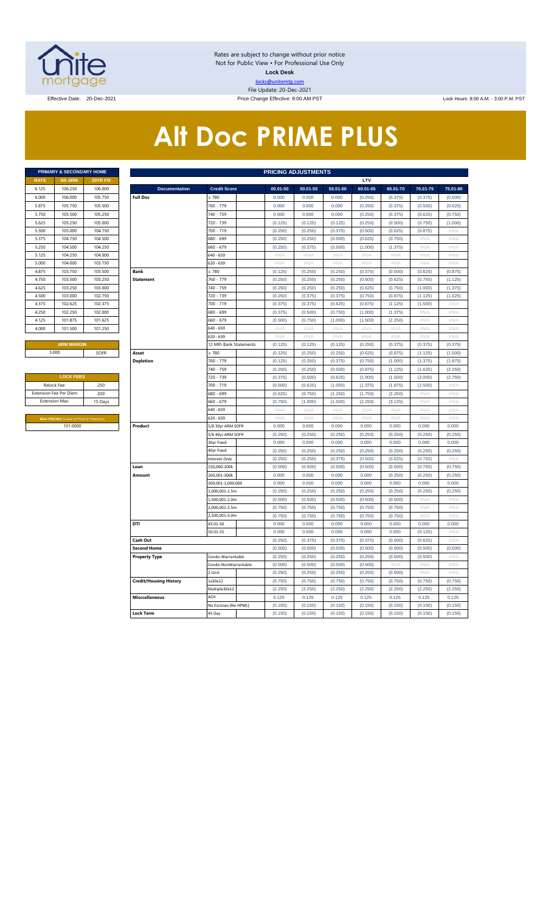

Rates are subject to change without prior notice Not for Public View • For Professional Use Only **Lock Desk** locks@unitemtg.com File Update: 20-Dec-2021

Effective Date: 20-Dec-2021 Price Change Effective: 9:00 AM PST Lock Hours: 9:00 A.M. - 3:00 P.M. PST

# **Alt Doc PRIME PLUS**

|                             | <b>PRIMARY &amp; SECONDARY HOME</b> |                 |  |  |  |  |  |  |  |  |  |  |
|-----------------------------|-------------------------------------|-----------------|--|--|--|--|--|--|--|--|--|--|
| <b>RATE</b>                 | <b>5/6 ARM</b>                      | <b>30YR FIX</b> |  |  |  |  |  |  |  |  |  |  |
| 6.125                       | 106.250                             | 106,000         |  |  |  |  |  |  |  |  |  |  |
| 6.000                       | 106,000                             | 105.750         |  |  |  |  |  |  |  |  |  |  |
| 5.875                       | 105.750                             | 105.500         |  |  |  |  |  |  |  |  |  |  |
| 5.750                       | 105.500                             | 105.250         |  |  |  |  |  |  |  |  |  |  |
| 5.625                       | 105.250                             | 105,000         |  |  |  |  |  |  |  |  |  |  |
| 5.500<br>105.000<br>104.750 |                                     |                 |  |  |  |  |  |  |  |  |  |  |
| 5.375                       | 104.750                             | 104.500         |  |  |  |  |  |  |  |  |  |  |
| 5.250                       | 104.500                             | 104.250         |  |  |  |  |  |  |  |  |  |  |
| 5.125                       | 104.250                             | 104.000         |  |  |  |  |  |  |  |  |  |  |
| 5.000                       | 104.000                             | 103.750         |  |  |  |  |  |  |  |  |  |  |
| 4.875                       | 103.750                             | 103.500         |  |  |  |  |  |  |  |  |  |  |
| 4.750                       | 103.500                             | 103.250         |  |  |  |  |  |  |  |  |  |  |
| 4.625                       | 103.250                             | 103.000         |  |  |  |  |  |  |  |  |  |  |
| 4.500                       | 103.000                             | 102.750         |  |  |  |  |  |  |  |  |  |  |
| 4.375                       | 102.625                             | 102.375         |  |  |  |  |  |  |  |  |  |  |
| 4.250                       | 102.250                             | 102.000         |  |  |  |  |  |  |  |  |  |  |
| 4.125                       | 101.875                             | 101.625         |  |  |  |  |  |  |  |  |  |  |
| 4.000                       | 101.500                             | 101.250         |  |  |  |  |  |  |  |  |  |  |
|                             |                                     |                 |  |  |  |  |  |  |  |  |  |  |

| <b>LOCK FEES</b>                               |         |
|------------------------------------------------|---------|
| Relock Fee:                                    | .250    |
| <b>Extension Fee Per Diem</b>                  | .030    |
| <b>Extension Max:</b>                          | 15 Days |
|                                                |         |
| <b>MAX PRICING (Lower of Price or Premium)</b> |         |
| 101.0000                                       |         |

|                       | PRIMARY & SECONDARY HOME                |          |                               |                        |          | <b>PRICING ADJUSTMENTS</b> |          |          |          |          |          |
|-----------------------|-----------------------------------------|----------|-------------------------------|------------------------|----------|----------------------------|----------|----------|----------|----------|----------|
| RATE                  | <b>5/6 ARM</b>                          | 30YR FIX |                               |                        |          |                            |          | LTV      |          |          |          |
| 6.125                 | 106.250                                 | 106.000  | <b>Documentation</b>          | <b>Credit Score</b>    | 00.01-50 | 50.01-55                   | 55.01-60 | 60.01-65 | 65.01-70 | 70.01-75 | 75.01-80 |
| 6.000                 | 106.000                                 | 105.750  | <b>Full Doc</b>               | > 780                  | 0.000    | 0.000                      | 0.000    | (0.250)  | (0.375)  | (0.375)  | (0.500)  |
| 5.875                 | 105.750                                 | 105.500  |                               | 760 - 779              | 0.000    | 0.000                      | 0.000    | (0.250)  | (0.375)  | (0.500)  | (0.625)  |
| 5.750                 | 105.500                                 | 105.250  |                               | 740 - 759              | 0.000    | 0.000                      | 0.000    | (0.250)  | (0.375)  | (0.625)  | (0.750)  |
| 5.625                 | 105.250                                 | 105.000  |                               | 720 - 739              | (0.125)  | (0.125)                    | (0.125)  | (0.250)  | (0.500)  | (0.750)  | (1.000)  |
| 5.500                 | 105.000                                 | 104.750  |                               | 700 - 719              | (0.250)  | (0.250)                    | (0.375)  | (0.500)  | (0.625)  | (0.875)  | #N/A     |
| 5.375                 | 104.750                                 | 104.500  |                               | 680 - 699              | (0.250)  | (0.250)                    | (0.500)  | (0.625)  | (0.750)  | # $N/A$  | #N/A     |
| 5.250                 | 104.500                                 | 104.250  |                               | 660 - 679              | (0.250)  | (0.375)                    | (0.500)  | (1.000)  | (1.375)  | #N/A     | #N/A     |
| 5.125                 | 104.250                                 | 104.000  |                               | 640 - 659              | #N/A     | #N/A                       | #N/A     | $\#N/A$  | #N/A     | #N/A     | #N/A     |
| 5.000                 | 104.000                                 | 103.750  |                               | 620 - 639              | #N/A     | $\#N/A$                    | #N/A     | $\#N/A$  | #N/A     | #N/A     | $\#N/A$  |
| 4.875                 | 103.750                                 | 103.500  | Rank                          | > 780                  | (0.125)  | (0.250)                    | (0.250)  | (0.375)  | (0.500)  | (0.625)  | (0.875)  |
| 4.750                 | 103.500                                 | 103.250  | <b>Statement</b>              | 760 - 779              | (0.250)  | (0.250)                    | (0.250)  | (0.500)  | (0.625)  | (0.750)  | (1.125)  |
| 4.625                 | 103.250                                 | 103.000  |                               | 740 - 759              | (0.250)  | (0.250)                    | (0.250)  | (0.625)  | (0.750)  | (1.000)  | (1.375)  |
| 4.500                 | 103.000                                 | 102.750  |                               | 720 - 739              | (0.250)  | (0.375)                    | (0.375)  | (0.750)  | (0.875)  | (1.125)  | (1.625)  |
| 4.375                 | 102.625                                 | 102.375  |                               | 700 - 719              | (0.375)  | (0.375)                    | (0.625)  | (0.875)  | (1.125)  | (1.500)  | #N/A     |
| 4.250                 | 102.250                                 | 102.000  |                               | 680 - 699              | (0.375)  | (0.500)                    | (0.750)  | (1.000)  | (1.375)  | #N/A     | #N/A     |
| 4.125                 | 101.875                                 | 101.625  |                               | 560 - 679              | (0.500)  | (0.750)                    | (1.000)  | (1.500)  | (2.250)  | #N/A     | #N/A     |
| 4.000                 | 101.500                                 | 101.250  |                               | 640 - 659              | $\#N/A$  | #N/A                       | #N/A     | #N/A     | #N/A     | #N/A     | #N/A     |
|                       |                                         |          |                               | 620 - 639              | #N/A     | #N/A                       | #N/A     | #N/A     | #N/A     | #N/A     | $\#N/A$  |
|                       | <b>ARM MARGIN</b>                       |          |                               | 12 Mth Bank Statements | (0.125)  | (0.125)                    | (0.125)  | (0.250)  | (0.375)  | (0.375)  | (0.375)  |
|                       | 5.000                                   | SOFR     | Asset                         | $\geq 780$             | (0.125)  | (0.250)                    | (0.250)  | (0.625)  | (0.875)  | (1.125)  | (1.500)  |
|                       |                                         |          | <b>Depletion</b>              | 760 - 779              | (0.125)  | (0.250)                    | (0.375)  | (0.750)  | (1.000)  | (1.375)  | (1.875)  |
|                       |                                         |          |                               | 740 - 759              | (0.250)  | (0.250)                    | (0.500)  | (0.875)  | (1.125)  | (1.625)  | (2.250)  |
|                       | <b>LOCK FEES</b>                        |          |                               | 720 - 739              | (0.375)  | (0.500)                    | (0.625)  | (1.000)  | (1.500)  | (2.000)  | (2.750)  |
| Relock Fee:           |                                         | .250     |                               | 700 - 719              | (0.500)  | (0.625)                    | (1.000)  | (1.375)  | (1.875)  | (2.500)  | #N/A     |
|                       | xtension Fee Per Diem                   | .030     |                               | 680 - 699              | (0.625)  | (0.750)                    | (1.250)  | (1.750)  | (2.250)  | # $N/A$  | #N/A     |
| <b>Extension Max:</b> |                                         | 15 Days  |                               | 660 - 679              | (0.750)  | (1.000)                    | (1.500)  | (2.250)  | (3.125)  | #N/A     | $\#N/A$  |
|                       |                                         |          |                               | 640 - 659              | $\#N/A$  | #N/A                       | #N/A     | $\#N/A$  | #N/A     | #N/A     | #N/A     |
|                       | MAX PRICING (Lower of Price or Premium) |          |                               | 620 - 639              | #N/A     | #N/A                       | #N/A     | #N/A     | #N/A     | #N/A     | #N/A     |
|                       | 101.0000                                |          | Product                       | 5/6 30yr ARM SOFR      | 0.000    | 0.000                      | 0.000    | 0.000    | 0.000    | 0.000    | 0.000    |
|                       |                                         |          |                               | 5/6 40yr ARM SOFR      | (0.250)  | (0.250)                    | (0.250)  | (0.250)  | (0.250)  | (0.250)  | (0.250)  |
|                       |                                         |          |                               | 30yr Fixed             | 0.000    | 0.000                      | 0.000    | 0.000    | 0.000    | 0.000    | 0.000    |
|                       |                                         |          |                               | 40yr Fixed             | (0.250)  | (0.250)                    | (0.250)  | (0.250)  | (0.250)  | (0.250)  | (0.250)  |
|                       |                                         |          |                               | Interest-Only          | (0.250)  | (0.250)                    | (0.375)  | (0.500)  | (0.625)  | (0.750)  | $\#N/A$  |
|                       |                                         |          | Loan                          | 150.000-200k           | (0.500)  | (0.500)                    | (0.500)  | (0.500)  | (0.500)  | (0.750)  | (0.750)  |
|                       |                                         |          | Amount                        | 200,001-300k           | 0.000    | 0.000                      | 0.000    | 0.000    | (0.250)  | (0.250)  | (0.250)  |
|                       |                                         |          |                               | 300,001-1,000,000      | 0.000    | 0.000                      | 0.000    | 0.000    | 0.000    | 0.000    | 0.000    |
|                       |                                         |          |                               | 1,000,001-1.5m         | (0.250)  | (0.250)                    | (0.250)  | (0.250)  | (0.250)  | (0.250)  | (0.250)  |
|                       |                                         |          |                               | .,500,001-2.0m         | (0.500)  | (0.500)                    | (0.500)  | (0.500)  | (0.500)  | #N//     | #N//     |
|                       |                                         |          |                               | 2,000,001-2.5m         | (0.750)  | (0.750)                    | (0.750)  | (0.750)  | (0.750)  | #N/A     | #N/A     |
|                       |                                         |          |                               | .500.001-3.0m          | (0.750)  | (0.750)                    | (0.750)  | (0.750)  | (0.750)  | $\#N/F$  | #N/A     |
|                       |                                         |          | DTI                           | 43.01-50               | 0.000    | 0.000                      | 0.000    | 0.000    | 0.000    | 0.000    | 0.000    |
|                       |                                         |          |                               | 50.01-55               | 0.000    | 0.000                      | 0.000    | 0.000    | 0.000    | (0.125)  | $\#N/A$  |
|                       |                                         |          | Cash Out                      |                        | (0.250)  | (0.375)                    | (0.375)  | (0.375)  | (0.500)  | (0.625)  | #N/A     |
|                       |                                         |          | <b>Second Home</b>            |                        | (0.500)  | (0.500)                    | (0.500)  | (0.500)  | (0.500)  | (0.500)  | (0.500)  |
|                       |                                         |          | <b>Property Type</b>          | Condo-Warrantable      | (0.250)  | (0.250)                    | (0.250)  | (0.250)  | (0.500)  | (0.500)  | $\#N/A$  |
|                       |                                         |          |                               | Condo-NonWarrantable   | (0.500)  | (0.500)                    | (0.500)  | (0.500)  | #N/A     | #N/A     | #N/A     |
|                       |                                         |          |                               | 2-Unit                 | (0.250)  | (0.250)                    | (0.250)  | (0.250)  | (0.500)  | #N/A     | #N/A     |
|                       |                                         |          | <b>Credit/Housing History</b> | 1x30x12                | (0.750)  | (0.750)                    | (0.750)  | (0.750)  | (0.750)  | (0.750)  | (0.750)  |
|                       |                                         |          |                               | Multiple30x12          | (2.250)  | (2.250)                    | (2.250)  | (2.250)  | (2.250)  | (2.250)  | (2.250)  |
|                       |                                         |          | <b>Misccellaneous</b>         | ACH                    | 0.125    | 0.125                      | 0.125    | 0.125    | 0.125    | 0.125    | 0.125    |
|                       |                                         |          |                               | No Escrows (No HPML)   | (0.150)  | (0.150)                    | (0.150)  | (0.150)  | (0.150)  | (0.150)  | (0.150)  |
|                       |                                         |          | <b>Lock Term</b>              | 45 Day                 | (0.150)  | (0.150)                    | (0.150)  | (0.150)  | (0.150)  | (0.150)  | (0.150)  |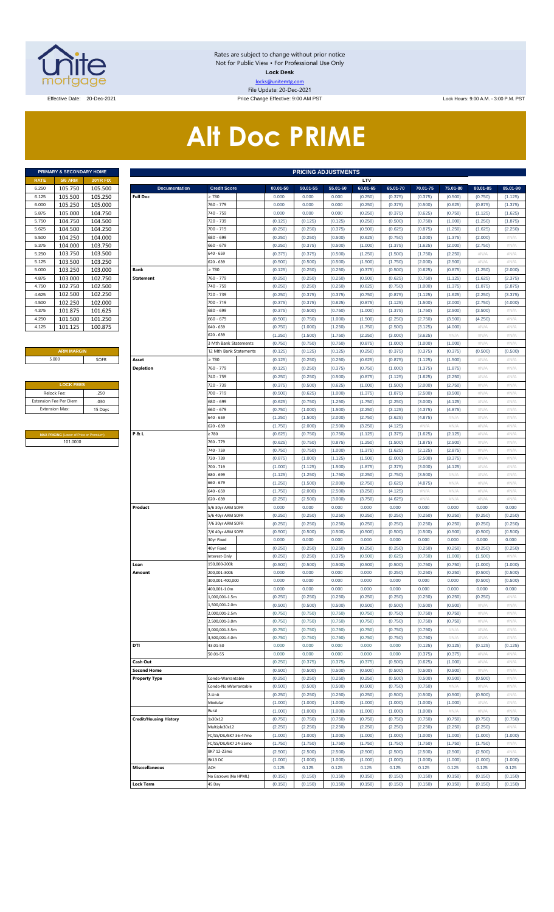

Rates are subject to change without prior notice Not for Public View • For Professional Use Only **Lock Desk** locks@unitemtg.com File Update: 20-Dec-2021

Effective Date: 20-Dec-2021 Price Change Effective: 9:00 AM PST Lock Hours: 9:00 A.M. - 3:00 P.M. PST

# **Alt Doc PRIME**

|             | <b>PRIMARY &amp; SECONDARY HOME</b> |                 |
|-------------|-------------------------------------|-----------------|
| <b>RATE</b> | <b>5/6 ARM</b>                      | <b>30YR FIX</b> |
| 6.250       | 105.750                             | 105.500         |
| 6.125       | 105.500                             | 105.250         |
| 6.000       | 105.250                             | 105.000         |
| 5.875       | 105.000                             | 104.750         |
| 5.750       | 104.750                             | 104.500         |
| 5.625       | 104.500                             | 104.250         |
| 5.500       | 104.250                             | 104.000         |
| 5.375       | 104.000                             | 103.750         |
| 5.250       | 103.750                             | 103.500         |
| 5.125       | 103.500                             | 103.250         |
| 5.000       | 103.250                             | 103.000         |
| 4.875       | 103.000                             | 102.750         |
| 4.750       | 102.750                             | 102.500         |
| 4.625       | 102.500                             | 102.250         |
| 4.500       | 102.250                             | 102.000         |
| 4.375       | 101.875                             | 101.625         |
| 4.250       | 101.500                             | 101.250         |
| 4.125       | 101.125                             | 100.875         |

#### **ARM MARGIN** 5.000

| <b>LOCK FEES</b>              |         |
|-------------------------------|---------|
| Relock Fee:                   | .250    |
| <b>Extension Fee Per Diem</b> | .030    |
| <b>Extension Max:</b>         | 15 Days |
|                               |         |

**MAX PRICING** (Lower of Price or Premium) 101.0000

|                | PRIMARY & SECONDARY HOME                |                    | <b>PRICING ADJUSTMENTS</b>    |                                           |                    |                    |                    |                    |                    |                    |                    |                    |                    |
|----------------|-----------------------------------------|--------------------|-------------------------------|-------------------------------------------|--------------------|--------------------|--------------------|--------------------|--------------------|--------------------|--------------------|--------------------|--------------------|
| RATE           | <b>5/6 ARM</b>                          | 30YR FIX           |                               |                                           |                    |                    |                    | LTV                |                    |                    |                    |                    |                    |
| 6.250          | 105.750                                 | 105.500            | <b>Documentation</b>          | <b>Credit Score</b>                       | 00.01-50           | 50.01-55           | 55.01-60           | 60.01-65           | 65.01-70           | 70.01-75           | 75.01-80           | 80.01-85           | 85.01-90           |
| 6.125          | 105.500                                 | 105.250            | <b>Full Doc</b>               | 2780                                      | 0.000              | 0.000              | 0.000              | (0.250)            | (0.375)            | (0.375)            | (0.500)            | (0.750)            | (1.125)            |
| 6.000<br>5.875 | 105.250<br>105.000                      | 105.000<br>104.750 |                               | 760 - 779<br>740 - 759                    | 0.000<br>0.000     | 0.000<br>0.000     | 0.000<br>0.000     | (0.250)            | (0.375)            | (0.500)<br>(0.625) | (0.625)<br>(0.750) | (0.875)            | (1.375)            |
| 5.750          | 104.750                                 | 104.500            |                               | 720 - 739                                 | (0.125)            | (0.125)            | (0.125)            | (0.250)<br>(0.250) | (0.375)<br>(0.500) | (0.750)            | (1.000)            | (1.125)<br>(1.250) | (1.625)<br>(1.875) |
| 5.625          | 104.500                                 | 104.250            |                               | 700 - 719                                 | (0.250)            | (0.250)            | (0.375)            | (0.500)            | (0.625)            | (0.875)            | (1.250)            | (1.625)            | (2.250)            |
| 5.500          | 104.250                                 | 104.000            |                               | 680 - 699                                 | (0.250)            | (0.250)            | (0.500)            | (0.625)            | (0.750)            | (1.000)            | (1.375)            | (2.000)            | #N/A               |
| 5.375          | 104.000                                 | 103.750            |                               | 660 - 679                                 | (0.250)            | (0.375)            | (0.500)            | (1.000)            | (1.375)            | (1.625)            | (2.000)            | (2.750)            | #N/A               |
| 5.250          | 103.750                                 | 103.500            |                               | 640 - 659                                 | (0.375)            | (0.375)            | (0.500)            | (1.250)            | (1.500)            | (1.750)            | (2.250)            | #N/A               | #N/A               |
| 5.125          | 103.500                                 | 103.250            |                               | 620 - 639                                 | (0.500)            | (0.500)            | (0.500)            | (1.500)            | (1.750)            | (2.000)            | (2.500)            | #N/A               | #N/A               |
| 5.000          | 103.250                                 | 103.000            | Bank                          | 2780                                      | (0.125)            | (0.250)            | (0.250)            | (0.375)            | (0.500)            | (0.625)            | (0.875)            | (1.250)            | (2.000)            |
| 4.875          | 103.000                                 | 102.750            | <b>Statement</b>              | 760 - 779                                 | (0.250)            | (0.250)            | (0.250)            | (0.500)            | (0.625)            | (0.750)            | (1.125)            | (1.625)            | (2.375)            |
| 4.750          | 102.750                                 | 102.500            |                               | 740 - 759                                 | (0.250)            | (0.250)            | (0.250)            | (0.625)            | (0.750)            | (1.000)            | (1.375)            | (1.875)            | (2.875)            |
| 4.625<br>4.500 | 102.500<br>102.250                      | 102.250<br>102.000 |                               | 720 - 739<br>700 - 719                    | (0.250)<br>(0.375) | (0.375)<br>(0.375) | (0.375)<br>(0.625) | (0.750)<br>(0.875) | (0.875)<br>(1.125) | (1.125)<br>(1.500) | (1.625)<br>(2.000) | (2.250)<br>(2.750) | (3.375)<br>(4.000) |
| 4.375          | 101.875                                 | 101.625            |                               | 680 - 699                                 | (0.375)            | (0.500)            | (0.750)            | (1.000)            | (1.375)            | (1.750)            | (2.500)            | (3.500)            | #N/A               |
| 4.250          | 101.500                                 | 101.250            |                               | 660 - 679                                 | (0.500)            | (0.750)            | (1.000)            | (1.500)            | (2.250)            | (2.750)            | (3.500)            | (4.250)            | $\#N/A$            |
| 4.125          | 101.125                                 | 100.875            |                               | 640 - 659                                 | (0.750)            | (1.000)            | (1.250)            | (1.750)            | (2.500)            | (3.125)            | (4.000)            | $\#N/A$            | #N/A               |
|                |                                         |                    |                               | 620 - 639                                 | (1.250)            | (1.500)            | (1.750)            | (2.250)            | (3.000)            | (3.625)            | #N/A               | #N/A               | #N/A               |
|                |                                         |                    |                               | 3 Mth Bank Statements                     | (0.750)            | (0.750)            | (0.750)            | (0.875)            | (1.000)            | (1.000)            | (1.000)            | #N/A               | #N/A               |
|                | <b>ARM MARGIN</b>                       |                    |                               | 12 Mth Bank Statements                    | (0.125)            | (0.125)            | (0.125)            | (0.250)            | (0.375)            | (0.375)            | (0.375)            | (0.500)            | (0.500)            |
|                | 5.000                                   | SOFR               | Asset                         | 2780                                      | (0.125)            | (0.250)            | (0.250)            | (0.625)            | (0.875)            | (1.125)            | (1.500)            | #N/A               | #N/A               |
|                |                                         |                    | <b>Depletion</b>              | 760 - 779                                 | (0.125)            | (0.250)            | (0.375)            | (0.750)            | (1.000)            | (1.375)            | (1.875)            | #N/A               | #N/A               |
|                |                                         |                    |                               | 740 - 759                                 | (0.250)            | (0.250)            | (0.500)            | (0.875)            | (1.125)            | (1.625)            | (2.250)            | #N/A               | #N/A               |
|                | <b>LOCK FEES</b>                        |                    |                               | 720 - 739                                 | (0.375)            | (0.500)            | (0.625)            | (1.000)            | (1.500)            | (2.000)            | (2.750)            | #N/A               | #N/A               |
| Relock Fee:    |                                         | .250               |                               | 700 - 719                                 | (0.500)            | (0.625)            | (1.000)            | (1.375)            | (1.875)            | (2.500)            | (3.500)            | #N/A               | #N/A               |
|                | xtension Fee Per Diem                   | .030               |                               | 680 - 699                                 | (0.625)            | (0.750)            | (1.250)            | (1.750)            | (2.250)            | (3.000)            | (4.125)            | $\#N/A$            | #N/A               |
| Extension Max: |                                         | 15 Days            |                               | 660 - 679<br>640 - 659                    | (0.750)<br>(1.250) | (1.000)<br>(1.500) | (1.500)<br>(2.000) | (2.250)<br>(2.750) | (3.125)<br>(3.625) | (4.375)<br>(4.875) | (4.875)<br>#N/A    | #N/A<br>#N/A       | #N/A<br>#N/A       |
|                |                                         |                    |                               | 620 - 639                                 | (1.750)            | (2.000)            | (2.500)            | (3.250)            | (4.125)            | $\#N/A$            | #N//               | $\#N/A$            | #N/A               |
|                | MAX PRICING (Lower of Price or Premium) |                    | P&L                           | 2780                                      | (0.625)            | (0.750)            | (0.750)            | (1.125)            | (1.375)            | (1.625)            | (2.125)            | #N/A               | #N/A               |
|                | 101.0000                                |                    |                               | 760 - 779                                 | (0.625)            | (0.750)            | (0.875)            | (1.250)            | (1.500)            | (1.875)            | (2.500)            | #N/A               | #N/A               |
|                |                                         |                    |                               | 740 - 759                                 | (0.750)            | (0.750)            | (1.000)            | (1.375)            | (1.625)            | (2.125)            | (2.875)            | #N/A               | #N/A               |
|                |                                         |                    |                               | 720 - 739                                 | (0.875)            | (1.000)            | (1.125)            | (1.500)            | (2.000)            | (2.500)            | (3.375)            | #N/A               | #N/A               |
|                |                                         |                    |                               | 700 - 719                                 | (1.000)            | (1.125)            | (1.500)            | (1.875)            | (2.375)            | (3.000)            | (4.125)            | #N/A               | #N/A               |
|                |                                         |                    |                               | 680 - 699                                 | (1.125)            | (1.250)            | (1.750)            | (2.250)            | (2.750)            | (3.500)            | $\#N/A$            | #N/A               | #N/A               |
|                |                                         |                    |                               | 660 - 679                                 | (1.250)            | (1.500)            | (2.000)            | (2.750)            | (3.625)            | (4.875)            | #N//               | #N/A               | #N/A               |
|                |                                         |                    |                               | 640 - 659                                 | (1.750)            | (2.000)            | (2.500)            | (3.250)            | (4.125)            | #N/A               | #N//               | #N/A               | #N/A               |
|                |                                         |                    | Product                       | 620 - 639                                 | (2.250)<br>0.000   | (2.500)<br>0.000   | (3.000)<br>0.000   | (3.750)<br>0.000   | (4.625)<br>0.000   | #N/A<br>0.000      | $\#N/A$<br>0.000   | #N/A<br>0.000      | #N/A<br>0.000      |
|                |                                         |                    |                               | 5/6 30yr ARM SOFR<br>5/6 40yr ARM SOFR    | (0.250)            | (0.250)            | (0.250)            | (0.250)            | (0.250)            | (0.250)            | (0.250)            | (0.250)            | (0.250)            |
|                |                                         |                    |                               | 7/6 30vr ARM SOFR                         | (0.250)            | (0.250)            | (0.250)            | (0.250)            | (0.250)            | (0.250)            | (0.250)            | (0.250)            | (0.250)            |
|                |                                         |                    |                               | 7/6 40yr ARM SOFR                         | (0.500)            | (0.500)            | (0.500)            | (0.500)            | (0.500)            | (0.500)            | (0.500)            | (0.500)            | (0.500)            |
|                |                                         |                    |                               | 30yr Fixed                                | 0.000              | 0.000              | 0.000              | 0.000              | 0.000              | 0.000              | 0.000              | 0.000              | 0.000              |
|                |                                         |                    |                               | 40yr Fixed                                | (0.250)            | (0.250)            | (0.250)            | (0.250)            | (0.250)            | (0.250)            | (0.250)            | (0.250)            | (0.250)            |
|                |                                         |                    |                               | Interest-Only                             | (0.250)            | (0.250)            | (0.375)            | (0.500)            | (0.625)            | (0.750)            | (1.000)            | (1.500)            | #N/A               |
|                |                                         |                    | Loan                          | 150.000-200k                              | (0.500)            | (0.500)            | (0.500)            | (0.500)            | (0.500)            | (0.750)            | (0.750)            | (1.000)            | (1.000)            |
|                |                                         |                    | Amount                        | 200,001-300k                              | 0.000              | 0.000              | 0.000              | 0.000              | (0.250)            | (0.250)            | (0.250)            | (0.500)            | (0.500)            |
|                |                                         |                    |                               | 300,001-400,000                           | 0.000              | 0.000              | 0.000              | 0.000              | 0.000              | 0.000              | 0.000              | (0.500)            | (0.500)            |
|                |                                         |                    |                               | 400,001-1.0m                              | 0.000              | 0.000              | 0.000              | 0.000              | 0.000              | 0.000              | 0.000              | 0.000              | 0.000              |
|                |                                         |                    |                               | .000.001-1.5m<br>,500,001-2.0m            | (0.250)<br>(0.500) | (0.250)<br>(0.500) | (0.250)<br>(0.500) | (0.250)<br>(0.500) | (0.250)<br>(0.500) | (0.250)<br>(0.500) | (0.250)<br>(0.500) | (0.250)<br>#N/A    | #N/A<br>#N/A       |
|                |                                         |                    |                               | .000.001-2.5m                             | (0.750)            | (0.750)            | (0.750)            | (0.750)            | (0.750)            | (0.750)            | (0.750)            | #N/A               | #N/A               |
|                |                                         |                    |                               | ,500,001-3.0m                             | (0.750)            | (0.750)            | (0.750)            | (0.750)            | (0.750)            | (0.750)            | (0.750)            | #N/A               | #N/A               |
|                |                                         |                    |                               | ,000,001-3.5m                             | (0.750)            | (0.750)            | (0.750)            | (0.750)            | (0.750)            | (0.750)            | #N/A               | #N/A               | #N/A               |
|                |                                         |                    |                               | .500.001-4.0m                             | (0.750)            | (0.750)            | (0.750)            | (0.750)            | (0.750)            | (0.750)            | #N/A               | #N/A               | #N/A               |
|                |                                         |                    | DTI                           | 43.01-50                                  | 0.000              | 0.000              | 0.000              | 0.000              | 0.000              | (0.125)            | (0.125)            | (0.125)            | (0.125)            |
|                |                                         |                    |                               | 50.01-55                                  | 0.000              | 0.000              | 0.000              | 0.000              | 0.000              | (0.375)            | (0.375)            | #N/A               | #N/A               |
|                |                                         |                    | Cash Out                      |                                           | (0.250)            | (0.375)            | (0.375)            | (0.375)            | (0.500)            | (0.625)            | (1.000)            | #N/A               | #N/A               |
|                |                                         |                    | <b>Second Home</b>            |                                           | (0.500)            | (0.500)            | (0.500)            | (0.500)            | (0.500)            | (0.500)            | (0.500)            | #N/A               | #N/A               |
|                |                                         |                    | <b>Property Type</b>          | Condo-Warrantable<br>Condo-NonWarrantable | (0.250)<br>(0.500) | (0.250)<br>(0.500) | (0.250)<br>(0.500) | (0.250)<br>(0.500) | (0.500)<br>(0.750) | (0.500)<br>(0.750) | (0.500)<br>$\#N/A$ | (0.500)<br>$\#N/A$ | #N/A<br>#N/A       |
|                |                                         |                    |                               | -Unit                                     | (0.250)            | (0.250)            | (0.250)            | (0.250)            | (0.500)            | (0.500)            | (0.500)            | (0.500)            | #N/A               |
|                |                                         |                    |                               | Modular                                   | (1.000)            | (1.000)            | (1.000)            | (1.000)            | (1.000)            | (1.000)            | (1.000)            | #N/A               | #N/A               |
|                |                                         |                    |                               | Rural                                     | (1.000)            | (1.000)            | (1.000)            | (1.000)            | (1.000)            | (1.000)            | #N/A               | #N/A               | #N/A               |
|                |                                         |                    | <b>Credit/Housing History</b> | Lx30x12                                   | (0.750)            | (0.750)            | (0.750)            | (0.750)            | (0.750)            | (0.750)            | (0.750)            | (0.750)            | (0.750)            |
|                |                                         |                    |                               | Multiple30x12                             | (2.250)            | (2.250)            | (2.250)            | (2.250)            | (2.250)            | (2.250)            | (2.250)            | (2.250)            | #N/A               |
|                |                                         |                    |                               | FC/SS/DIL/BK7 36-47mo                     | (1.000)            | (1.000)            | (1.000)            | (1.000)            | (1.000)            | (1.000)            | (1.000)            | (1.000)            | (1.000)            |
|                |                                         |                    |                               | C/SS/DIL/BK7 24-35mo                      | (1.750)            | (1.750)            | (1.750)            | (1.750)            | (1.750)            | (1.750)            | (1.750)            | (1.750)            | #N/A               |
|                |                                         |                    |                               | BK7 12-23mo                               | (2.500)            | (2.500)            | (2.500)            | (2.500)            | (2.500)            | (2.500)            | (2.500)            | (2.500)            | #N/A               |
|                |                                         |                    |                               | BK13 DC                                   | (1.000)            | (1.000)            | (1.000)            | (1.000)            | (1.000)            | (1.000)            | (1.000)            | (1.000)            | (1.000)            |
|                |                                         |                    | <b>Misccellaneous</b>         | ACH<br>No Escrows (No HPML)               | 0.125<br>(0.150)   | 0.125<br>(0.150)   | 0.125<br>(0.150)   | 0.125<br>(0.150)   | 0.125<br>(0.150)   | 0.125<br>(0.150)   | 0.125<br>(0.150)   | 0.125<br>(0.150)   | 0.125<br>(0.150)   |
|                |                                         |                    | <b>Lock Term</b>              | 45 Day                                    | (0.150)            | (0.150)            | (0.150)            | (0.150)            | (0.150)            | (0.150)            | (0.150)            | (0.150)            | (0.150)            |
|                |                                         |                    |                               |                                           |                    |                    |                    |                    |                    |                    |                    |                    |                    |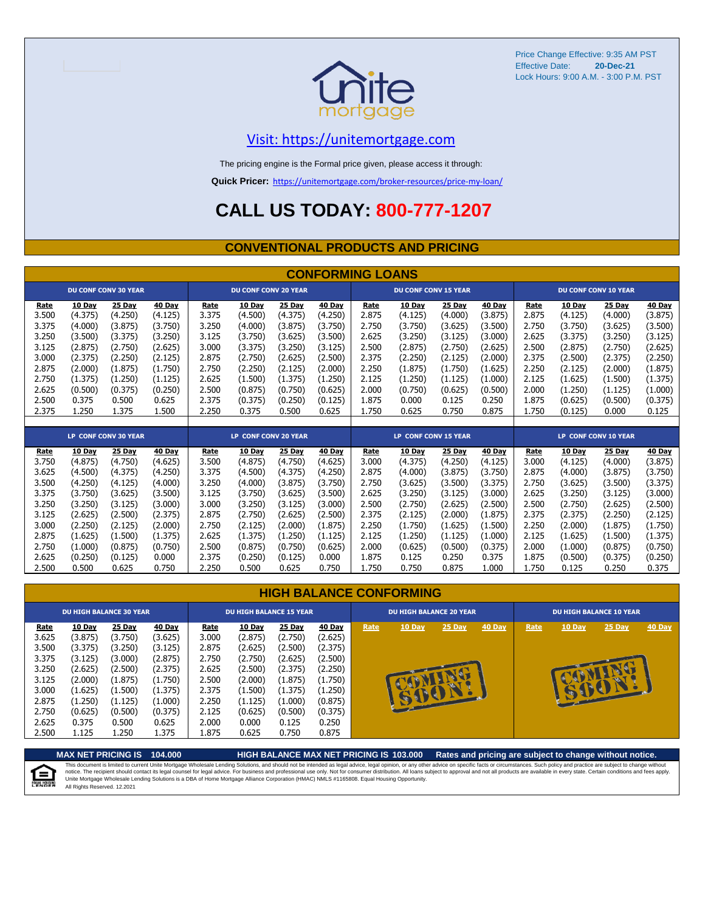

#### [V](https://unitemortgage.com/)isit: https://unitemortgage.com

The pricing engine is the Formal price given, please access it through:

**Quick Pricer:** [https://un](https://unitemortgage.com/broker-resources/price-my-loan/)itemortgage.com/broker-resources/price-my-loan/

### **CALL US TODAY: 800-777-1207**

#### **CONVENTIONAL PRODUCTS AND PRICING**

|       |               |                             |         |       |                             |               | <b>CONFORMING LOANS</b> |             |                             |               |               |       |               |                             |               |
|-------|---------------|-----------------------------|---------|-------|-----------------------------|---------------|-------------------------|-------------|-----------------------------|---------------|---------------|-------|---------------|-----------------------------|---------------|
|       |               | <b>DU CONF CONV 30 YEAR</b> |         |       | <b>DU CONF CONV 20 YEAR</b> |               |                         |             | <b>DU CONF CONV 15 YEAR</b> |               |               |       |               | <b>DU CONF CONV 10 YEAR</b> |               |
| Rate  | <b>10 Day</b> | 25 Day                      | 40 Day  | Rate  | 10 Day                      | 25 Day        | <b>40 Day</b>           | <b>Rate</b> | 10 Day                      | <b>25 Day</b> | 40 Day        | Rate  | <b>10 Day</b> | 25 Day                      | <b>40 Day</b> |
| 3.500 | (4.375)       | (4.250)                     | (4.125) | 3.375 | (4.500)                     | (4.375)       | (4.250)                 | 2.875       | (4.125)                     | (4.000)       | (3.875)       | 2.875 | (4.125)       | (4.000)                     | (3.875)       |
| 3.375 | (4.000)       | (3.875)                     | (3.750) | 3.250 | (4.000)                     | (3.875)       | (3.750)                 | 2.750       | (3.750)                     | (3.625)       | (3.500)       | 2.750 | (3.750)       | (3.625)                     | (3.500)       |
| 3.250 | (3.500)       | (3.375)                     | (3.250) | 3.125 | (3.750)                     | (3.625)       | (3.500)                 | 2.625       | (3.250)                     | (3.125)       | (3.000)       | 2.625 | (3.375)       | (3.250)                     | (3.125)       |
| 3.125 | (2.875)       | (2.750)                     | (2.625) | 3.000 | (3.375)                     | (3.250)       | (3.125)                 | 2.500       | (2.875)                     | (2.750)       | (2.625)       | 2.500 | (2.875)       | (2.750)                     | (2.625)       |
| 3.000 | (2.375)       | (2.250)                     | (2.125) | 2.875 | (2.750)                     | (2.625)       | (2.500)                 | 2.375       | (2.250)                     | (2.125)       | (2.000)       | 2.375 | (2.500)       | (2.375)                     | (2.250)       |
| 2.875 | (2.000)       | (1.875)                     | (1.750) | 2.750 | (2.250)                     | (2.125)       | (2.000)                 | 2.250       | (1.875)                     | (1.750)       | (1.625)       | 2.250 | (2.125)       | (2.000)                     | (1.875)       |
| 2.750 | (1.375)       | (1.250)                     | (1.125) | 2.625 | (1.500)                     | (1.375)       | (1.250)                 | 2.125       | (1.250)                     | (1.125)       | (1.000)       | 2.125 | (1.625)       | (1.500)                     | (1.375)       |
| 2.625 | (0.500)       | (0.375)                     | (0.250) | 2.500 | (0.875)                     | (0.750)       | (0.625)                 | 2.000       | (0.750)                     | (0.625)       | (0.500)       | 2.000 | (1.250)       | (1.125)                     | (1.000)       |
| 2.500 | 0.375         | 0.500                       | 0.625   | 2.375 | (0.375)                     | (0.250)       | (0.125)                 | 1.875       | 0.000                       | 0.125         | 0.250         | 1.875 | (0.625)       | (0.500)                     | (0.375)       |
| 2.375 | 1.250         | 1.375                       | 1.500   | 2.250 | 0.375                       | 0.500         | 0.625                   | 1.750       | 0.625                       | 0.750         | 0.875         | 1.750 | (0.125)       | 0.000                       | 0.125         |
|       |               |                             |         |       |                             |               |                         |             |                             |               |               |       |               |                             |               |
|       |               | <b>LP CONF CONV 30 YEAR</b> |         |       | <b>LP CONF CONV 20 YEAR</b> |               |                         |             | <b>LP CONF CONV 15 YEAR</b> |               |               |       |               | <b>LP CONF CONV 10 YEAR</b> |               |
| Rate  | 10 Day        | <b>25 Day</b>               | 40 Day  | Rate  | <b>10 Day</b>               | <b>25 Day</b> | <b>40 Day</b>           | Rate        | 10 Day                      | <b>25 Day</b> | <b>40 Day</b> | Rate  | <b>10 Day</b> | <b>25 Day</b>               | <b>40 Day</b> |
| 3.750 | (4.875)       | (4.750)                     | (4.625) | 3.500 | (4.875)                     | (4.750)       | (4.625)                 | 3.000       | (4.375)                     | (4.250)       | (4.125)       | 3.000 | (4.125)       | (4.000)                     | (3.875)       |
| 3.625 | (4.500)       | (4.375)                     | (4.250) | 3.375 | (4.500)                     | (4.375)       | (4.250)                 | 2.875       | (4.000)                     | (3.875)       | (3.750)       | 2.875 | (4.000)       | (3.875)                     | (3.750)       |
| 3.500 | (4.250)       | (4.125)                     | (4.000) | 3.250 | (4.000)                     | (3.875)       | (3.750)                 | 2.750       | (3.625)                     | (3.500)       | (3.375)       | 2.750 | (3.625)       | (3.500)                     | (3.375)       |
| 3.375 | (3.750)       | (3.625)                     | (3.500) | 3.125 | (3.750)                     | (3.625)       | (3.500)                 | 2.625       | (3.250)                     | (3.125)       | (3.000)       | 2.625 | (3.250)       | (3.125)                     | (3.000)       |
| 3.250 | (3.250)       | (3.125)                     | (3.000) | 3.000 | (3.250)                     | (3.125)       | (3.000)                 | 2.500       | (2.750)                     | (2.625)       | (2.500)       | 2.500 | (2.750)       | (2.625)                     | (2.500)       |
| 3.125 | (2.625)       | (2.500)                     | (2.375) | 2.875 | (2.750)                     | (2.625)       | (2.500)                 | 2.375       | (2.125)                     | (2.000)       | (1.875)       | 2.375 | (2.375)       | (2.250)                     | (2.125)       |
| 3.000 | (2.250)       | (2.125)                     | (2.000) | 2.750 | (2.125)                     | (2.000)       | (1.875)                 | 2.250       | (1.750)                     | (1.625)       | (1.500)       | 2.250 | (2.000)       | (1.875)                     | (1.750)       |

#### **HIGH BALANCE CONFORMING**

2.875 (1.625) (1.500) (1.375) 2.625 (1.375) (1.250) (1.125) 2.125 (1.250) (1.125) (1.000) 2.125 (1.625) (1.500) (1.375) 2.750 (1.000) (0.875) (0.750) 2.500 (0.875) (0.750) (0.625) 2.000 (0.625) (0.500) (0.375) 2.000 (1.000) (0.875) (0.750) 2.625 (0.250) (0.125) 0.000 2.375 (0.250) (0.125) 0.000 1.875 0.125 0.250 0.375 1.875 (0.500) (0.375) (0.250) 2.500 0.500 0.625 0.750 2.250 0.500 0.625 0.750 1.750 0.750 0.875 1.000 1.750 0.125 0.250 0.375

|                                                                                                | <b>DU HIGH BALANCE 30 YEAR</b>                                                                                   |                                                                                                                |                                                                                                                  |                                                                                               | <b>DU HIGH BALANCE 15 YEAR</b>                                                                                          |                                                                                                                  |                                                                                                                         |      | <b>DU HIGH BALANCE 20 YEAR</b> |             |        | <b>DU HIGH BALANCE 10 YEAR</b> |        |          |               |  |
|------------------------------------------------------------------------------------------------|------------------------------------------------------------------------------------------------------------------|----------------------------------------------------------------------------------------------------------------|------------------------------------------------------------------------------------------------------------------|-----------------------------------------------------------------------------------------------|-------------------------------------------------------------------------------------------------------------------------|------------------------------------------------------------------------------------------------------------------|-------------------------------------------------------------------------------------------------------------------------|------|--------------------------------|-------------|--------|--------------------------------|--------|----------|---------------|--|
| Rate<br>3.625<br>3.500<br>3.375<br>3.250<br>3.125<br>3.000<br>2.875<br>2.750<br>2.625<br>2.500 | 10 Day<br>(3.875)<br>(3.375)<br>(3.125)<br>(2.625)<br>(2.000)<br>(1.625)<br>(1.250)<br>(0.625)<br>0.375<br>1.125 | 25 Day<br>(3.750)<br>(3.250)<br>(3.000)<br>(2.500)<br>(1.875)<br>(1.500)<br>(1.125)<br>(0.500)<br>0.500<br>250 | 40 Day<br>(3.625)<br>(3.125)<br>(2.875)<br>(2.375)<br>(1.750)<br>(1.375)<br>(1.000)<br>(0.375)<br>0.625<br>1.375 | Rate<br>3.000<br>2.875<br>2.750<br>2.625<br>2.500<br>2.375<br>2.250<br>2.125<br>2.000<br>875ء | <b>10 Day</b><br>(2.875)<br>(2.625)<br>(2.750)<br>(2.500)<br>(2.000)<br>(1.500)<br>(1.125)<br>(0.625)<br>0.000<br>0.625 | 25 Day<br>(2.750)<br>(2.500)<br>(2.625)<br>(2.375)<br>(1.875)<br>(1.375)<br>(1.000)<br>(0.500)<br>0.125<br>0.750 | <b>40 Day</b><br>(2.625)<br>(2.375)<br>(2.500)<br>(2.250)<br>(1.750)<br>(1.250)<br>(0.875)<br>(0.375)<br>0.250<br>0.875 | Rate | 10 Day                         | 25 Day<br>œ | 40 Day | Rate                           | 10 Day | $25$ Day | <b>40 Day</b> |  |

**MAX NET PRICING IS 104.000 HIGH BALANCE MAX NET PRICING IS 103.000 Rates and pricing are subject to change without notice.** This document is limited to current Unite Mortgage Wholesale Lending Solutions, and should not be intended as legal advice, legal opinion, or any other advice on specific facts or circumstances. Such policy and practice ar 自 All Rights Reserved. 12.2021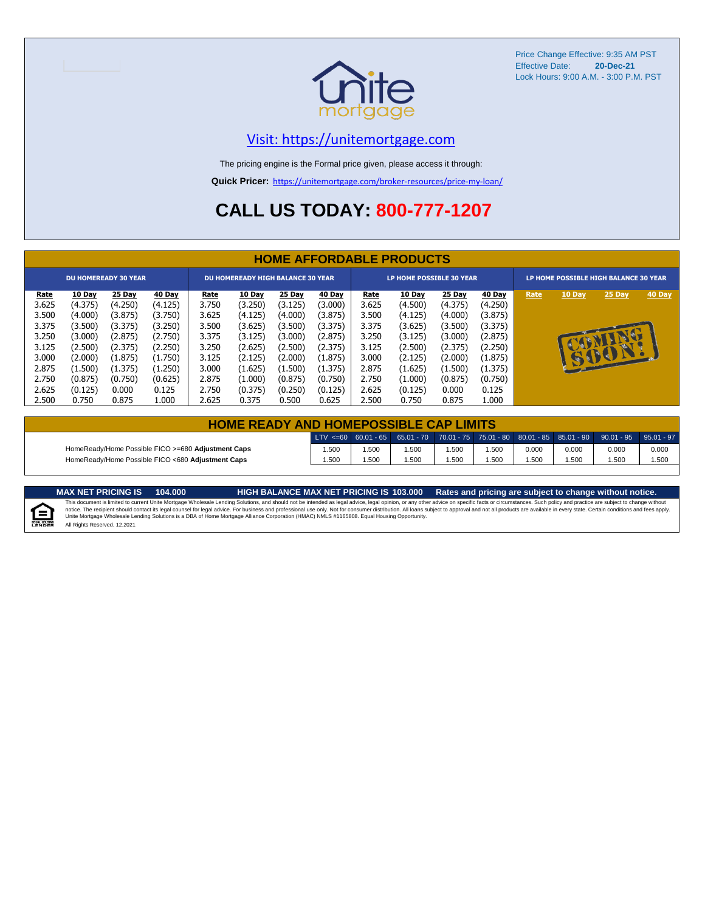

#### [V](https://unitemortgage.com/)isit: https://unitemortgage.com

The pricing engine is the Formal price given, please access it through:

**Quick Pricer:** [https://un](https://unitemortgage.com/broker-resources/price-my-loan/)itemortgage.com/broker-resources/price-my-loan/

### **CALL US TODAY: 800-777-1207**

|             | <b>HOME AFFORDABLE PRODUCTS</b> |                             |               |             |                                          |         |               |             |                                 |         |         |                                       |        |        |        |
|-------------|---------------------------------|-----------------------------|---------------|-------------|------------------------------------------|---------|---------------|-------------|---------------------------------|---------|---------|---------------------------------------|--------|--------|--------|
|             |                                 | <b>DU HOMEREADY 30 YEAR</b> |               |             | <b>DU HOMEREADY HIGH BALANCE 30 YEAR</b> |         |               |             | <b>LP HOME POSSIBLE 30 YEAR</b> |         |         | LP HOME POSSIBLE HIGH BALANCE 30 YEAR |        |        |        |
| <u>Rate</u> | 10 Day                          | 25 Day                      | <b>40 Day</b> | <u>Rate</u> | 10 Day                                   | 25 Day  | <b>40 Day</b> | <u>Rate</u> | <b>10 Day</b>                   | 25 Day  | 40 Day  | Rate                                  | 10 Day | 25 Day | 40 Day |
| 3.625       | (4.375)                         | (4.250)                     | (4.125)       | 3.750       | (3.250)                                  | (3.125) | (3.000)       | 3.625       | (4.500)                         | (4.375) | (4.250) |                                       |        |        |        |
| 3.500       | (4.000)                         | (3.875)                     | (3.750)       | 3.625       | (4.125)                                  | (4.000) | (3.875)       | 3.500       | (4.125)                         | (4.000) | (3.875) |                                       |        |        |        |
| 3.375       | (3.500)                         | (3.375)                     | (3.250)       | 3.500       | (3.625)                                  | (3.500) | (3.375)       | 3.375       | (3.625)                         | (3.500) | (3.375) |                                       |        |        |        |
| 3.250       | (3.000)                         | (2.875)                     | (2.750)       | 3.375       | (3.125)                                  | (3.000) | (2.875)       | 3.250       | (3.125)                         | (3.000) | (2.875) |                                       |        |        |        |
| 3.125       | (2.500)                         | (2.375)                     | (2.250)       | 3.250       | (2.625)                                  | (2.500) | (2.375)       | 3.125       | (2.500)                         | (2.375) | (2.250) |                                       |        |        |        |
| 3.000       | (2.000)                         | (1.875)                     | (1.750)       | 3.125       | (2.125)                                  | (2.000) | (1.875)       | 3.000       | (2.125)                         | (2.000) | (1.875) |                                       | 25     | BU     |        |
| 2.875       | (1.500)                         | (1.375)                     | (1.250)       | 3.000       | (1.625)                                  | (1.500) | (1.375)       | 2.875       | (1.625)                         | (1.500) | (1.375) |                                       |        |        |        |
| 2.750       | (0.875)                         | (0.750)                     | (0.625)       | 2.875       | (1.000)                                  | (0.875) | (0.750)       | 2.750       | (1.000)                         | (0.875) | (0.750) |                                       |        |        |        |
| 2.625       | (0.125)                         | 0.000                       | 0.125         | 2.750       | (0.375)                                  | (0.250) | (0.125)       | 2.625       | (0.125)                         | 0.000   | 0.125   |                                       |        |        |        |
| 2.500       | 0.750                           | 0.875                       | 1.000         | 2.625       | 0.375                                    | 0.500   | 0.625         | 2.500       | 0.750                           | 0.875   | L.000   |                                       |        |        |        |

|                                                    | <b>HOME READY AND HOMEPOSSIBLE CAP LIMITS</b> |       |      |      |      |       |       |                                                                                                  |       |  |  |  |  |  |
|----------------------------------------------------|-----------------------------------------------|-------|------|------|------|-------|-------|--------------------------------------------------------------------------------------------------|-------|--|--|--|--|--|
|                                                    |                                               |       |      |      |      |       |       | LTV <=60 60.01 - 65 65.01 - 70 70.01 - 75 75.01 - 80 80.01 - 85 85.01 - 90 90.01 - 95 95.01 - 97 |       |  |  |  |  |  |
| HomeReady/Home Possible FICO >=680 Adjustment Caps | .500                                          | 1.500 | .500 | .500 | .500 | 0.000 | 0.000 | 0.000                                                                                            | 0.000 |  |  |  |  |  |
| HomeReady/Home Possible FICO <680 Adjustment Caps  | 1.500                                         | 1.500 | .500 | .500 | .500 | 1.500 | 1.500 | 1.500                                                                                            | 1.500 |  |  |  |  |  |

MAX NET PRICING IS 103.000 Rates and pricing are subject to change without notice.<br>This document is limited to current Unite Mortgage Wholesale Lending Solutions, and should not be intended as legal advice, legal opinion,



All Rights Reserved. 12.2021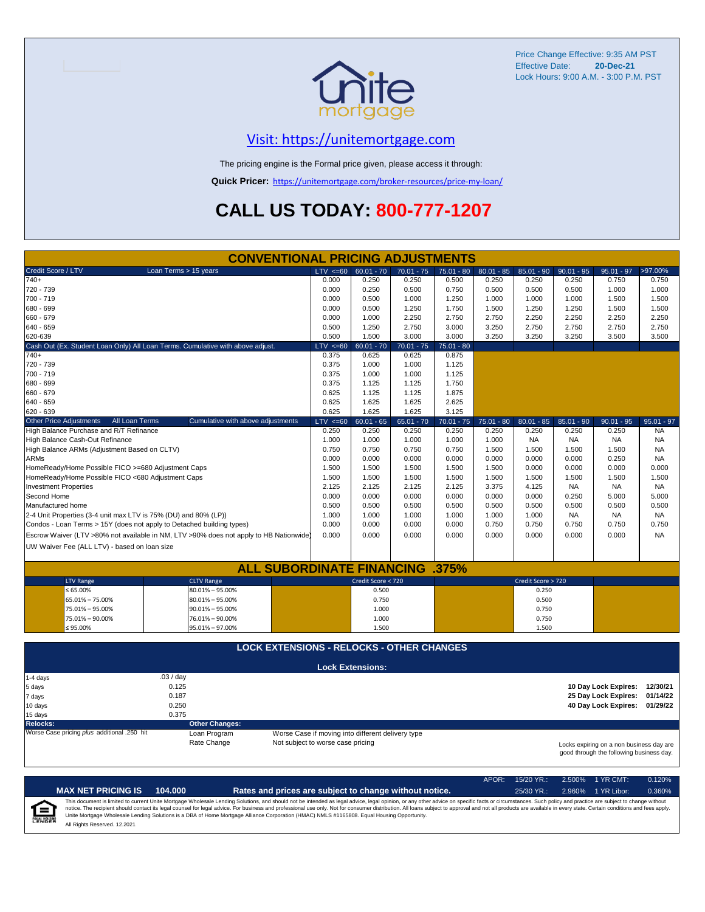

#### [V](https://unitemortgage.com/)isit: https://unitemortgage.com

The pricing engine is the Formal price given, please access it through:

**Quick Pricer:** [https://un](https://unitemortgage.com/broker-resources/price-my-loan/)itemortgage.com/broker-resources/price-my-loan/

### **CALL US TODAY: 800-777-1207**

| <b>CONVENTIONAL PRICING ADJUSTMENTS</b>                               |                                                                                        |                                   |                                                   |              |              |              |                    |              |                                                                                      |              |  |  |
|-----------------------------------------------------------------------|----------------------------------------------------------------------------------------|-----------------------------------|---------------------------------------------------|--------------|--------------|--------------|--------------------|--------------|--------------------------------------------------------------------------------------|--------------|--|--|
| Credit Score / LTV                                                    | Loan Terms > 15 years                                                                  | $LTV < =60$                       | $60.01 - 70$                                      | $70.01 - 75$ | $75.01 - 80$ | $80.01 - 85$ | $85.01 - 90$       | $90.01 - 95$ | $95.01 - 97$                                                                         | >97.00%      |  |  |
| $740+$                                                                |                                                                                        | 0.000                             | 0.250                                             | 0.250        | 0.500        | 0.250        | 0.250              | 0.250        | 0.750                                                                                | 0.750        |  |  |
| 720 - 739                                                             |                                                                                        | 0.000                             | 0.250                                             | 0.500        | 0.750        | 0.500        | 0.500              | 0.500        | 1.000                                                                                | 1.000        |  |  |
| 700 - 719                                                             |                                                                                        | 0.000                             | 0.500                                             | 1.000        | 1.250        | 1.000        | 1.000              | 1.000        | 1.500                                                                                | 1.500        |  |  |
| 680 - 699                                                             |                                                                                        | 0.000                             | 0.500                                             | 1.250        | 1.750        | 1.500        | 1.250              | 1.250        | 1.500                                                                                | 1.500        |  |  |
| 660 - 679                                                             |                                                                                        | 0.000                             | 1.000                                             | 2.250        | 2.750        | 2.750        | 2.250              | 2.250        | 2.250                                                                                | 2.250        |  |  |
| 640 - 659                                                             |                                                                                        | 0.500                             | 1.250                                             | 2.750        | 3.000        | 3.250        | 2.750              | 2.750        | 2.750                                                                                | 2.750        |  |  |
| 620-639                                                               |                                                                                        | 0.500                             | 1.500                                             | 3.000        | 3.000        | 3.250        | 3.250              | 3.250        | 3.500                                                                                | 3.500        |  |  |
|                                                                       | Cash Out (Ex. Student Loan Only) All Loan Terms. Cumulative with above adjust.         | $LTV \le 60$                      | $60.01 - 70$                                      | $70.01 - 75$ | $75.01 - 80$ |              |                    |              |                                                                                      |              |  |  |
| 740+                                                                  |                                                                                        | 0.375                             | 0.625                                             | 0.625        | 0.875        |              |                    |              |                                                                                      |              |  |  |
| 720 - 739                                                             |                                                                                        | 0.375                             | 1.000                                             | 1.000        | 1.125        |              |                    |              |                                                                                      |              |  |  |
| 700 - 719                                                             |                                                                                        | 0.375                             | 1.000                                             | 1.000        | 1.125        |              |                    |              |                                                                                      |              |  |  |
| 680 - 699                                                             |                                                                                        | 0.375                             | 1.125                                             | 1.125        | 1.750        |              |                    |              |                                                                                      |              |  |  |
| 660 - 679                                                             |                                                                                        | 0.625                             | 1.125                                             | 1.125        | 1.875        |              |                    |              |                                                                                      |              |  |  |
| 640 - 659                                                             |                                                                                        | 0.625                             | 1.625                                             | 1.625        | 2.625        |              |                    |              |                                                                                      |              |  |  |
| 620 - 639                                                             |                                                                                        | 0.625                             | 1.625                                             | 1.625        | 3.125        |              |                    |              |                                                                                      |              |  |  |
| Other Price Adjustments<br>All Loan Terms                             | Cumulative with above adjustments                                                      | $LTV \le 60$                      | $60.01 - 65$                                      | $65.01 - 70$ | $70.01 - 75$ | $75.01 - 80$ | $80.01 - 85$       | $85.01 - 90$ | $90.01 - 95$                                                                         | $95.01 - 97$ |  |  |
| High Balance Purchase and R/T Refinance                               |                                                                                        | 0.250                             | 0.250                                             | 0.250        | 0.250        | 0.250        | 0.250              | 0.250        | 0.250                                                                                | <b>NA</b>    |  |  |
| High Balance Cash-Out Refinance                                       |                                                                                        | 1.000                             | 1.000                                             | 1.000        | 1.000        | 1.000        | <b>NA</b>          | <b>NA</b>    | <b>NA</b>                                                                            | <b>NA</b>    |  |  |
| High Balance ARMs (Adjustment Based on CLTV)                          |                                                                                        | 0.750                             | 0.750                                             | 0.750        | 0.750        | 1.500        | 1.500              | 1.500        | 1.500                                                                                | <b>NA</b>    |  |  |
| <b>ARMs</b>                                                           |                                                                                        | 0.000                             | 0.000                                             | 0.000        | 0.000        | 0.000        | 0.000              | 0.000        | 0.250                                                                                | <b>NA</b>    |  |  |
| HomeReady/Home Possible FICO >=680 Adjustment Caps                    |                                                                                        | 1.500                             | 1.500                                             | 1.500        | 1.500        | 1.500        | 0.000              | 0.000        | 0.000                                                                                | 0.000        |  |  |
| HomeReady/Home Possible FICO <680 Adjustment Caps                     |                                                                                        | 1.500                             | 1.500                                             | 1.500        | 1.500        | 1.500        | 1.500              | 1.500        | 1.500                                                                                | 1.500        |  |  |
| <b>Investment Properties</b>                                          |                                                                                        | 2.125                             | 2.125                                             | 2.125        | 2.125        | 3.375        | 4.125              | <b>NA</b>    | <b>NA</b>                                                                            | <b>NA</b>    |  |  |
| Second Home                                                           |                                                                                        | 0.000                             | 0.000                                             | 0.000        | 0.000        | 0.000        | 0.000              | 0.250        | 5.000                                                                                | 5.000        |  |  |
| Manufactured home                                                     |                                                                                        | 0.500                             | 0.500                                             | 0.500        | 0.500        | 0.500        | 0.500              | 0.500        | 0.500                                                                                | 0.500        |  |  |
| 2-4 Unit Properties (3-4 unit max LTV is 75% (DU) and 80% (LP))       |                                                                                        | 1.000                             | 1.000                                             | 1.000        | 1.000        | 1.000        | 1.000              | <b>NA</b>    | <b>NA</b>                                                                            | <b>NA</b>    |  |  |
| Condos - Loan Terms > 15Y (does not apply to Detached building types) |                                                                                        | 0.000                             | 0.000                                             | 0.000        | 0.000        | 0.750        | 0.750              | 0.750        | 0.750                                                                                | 0.750        |  |  |
|                                                                       | Escrow Waiver (LTV >80% not available in NM, LTV >90% does not apply to HB Nationwide) | 0.000                             | 0.000                                             | 0.000        | 0.000        | 0.000        | 0.000              | 0.000        | 0.000                                                                                | <b>NA</b>    |  |  |
| UW Waiver Fee (ALL LTV) - based on loan size                          |                                                                                        |                                   |                                                   |              |              |              |                    |              |                                                                                      |              |  |  |
|                                                                       |                                                                                        |                                   |                                                   |              |              |              |                    |              |                                                                                      |              |  |  |
|                                                                       | <b>ALL SUBORDINATE FINANCING .375%</b>                                                 |                                   |                                                   |              |              |              |                    |              |                                                                                      |              |  |  |
| <b>LTV Range</b>                                                      | <b>CLTV Range</b>                                                                      |                                   | Credit Score < 720                                |              |              |              | Credit Score > 720 |              |                                                                                      |              |  |  |
| $\leq 65.00\%$                                                        | 80.01% - 95.00%                                                                        |                                   | 0.500                                             |              |              |              | 0.250              |              |                                                                                      |              |  |  |
| 65.01% - 75.00%                                                       | $80.01\% - 95.00\%$                                                                    |                                   | 0.750                                             |              |              |              | 0.500              |              |                                                                                      |              |  |  |
| 75.01% - 95.00%                                                       | $90.01\% - 95.00\%$                                                                    |                                   | 1.000                                             |              |              |              | 0.750              |              |                                                                                      |              |  |  |
| 75.01% - 90.00%                                                       | 76.01% - 90.00%                                                                        |                                   | 1.000                                             |              |              |              | 0.750              |              |                                                                                      |              |  |  |
| ≤ 95.00%                                                              | 95.01% - 97.00%                                                                        |                                   | 1.500                                             |              |              |              | 1.500              |              |                                                                                      |              |  |  |
|                                                                       | <b>LOCK EXTENSIONS - RELOCKS - OTHER CHANGES</b>                                       |                                   |                                                   |              |              |              |                    |              |                                                                                      |              |  |  |
|                                                                       |                                                                                        |                                   |                                                   |              |              |              |                    |              |                                                                                      |              |  |  |
|                                                                       |                                                                                        |                                   | <b>Lock Extensions:</b>                           |              |              |              |                    |              |                                                                                      |              |  |  |
| 1-4 days                                                              | .03 / day                                                                              |                                   |                                                   |              |              |              |                    |              |                                                                                      |              |  |  |
| 5 days                                                                | 0.125                                                                                  |                                   |                                                   |              |              |              |                    |              | 10 Day Lock Expires: 12/30/21                                                        |              |  |  |
| 7 days                                                                | 0.187<br>0.250                                                                         |                                   |                                                   |              |              |              |                    |              | 25 Day Lock Expires:                                                                 | 01/14/22     |  |  |
| 10 days                                                               | 0.375                                                                                  |                                   |                                                   |              |              |              |                    |              | 40 Day Lock Expires: 01/29/22                                                        |              |  |  |
| 15 days<br><b>Relocks:</b>                                            | <b>Other Changes:</b>                                                                  |                                   |                                                   |              |              |              |                    |              |                                                                                      |              |  |  |
| Worse Case pricing plus additional .250 hit                           | Loan Program                                                                           |                                   | Worse Case if moving into different delivery type |              |              |              |                    |              |                                                                                      |              |  |  |
|                                                                       | Rate Change                                                                            | Not subject to worse case pricing |                                                   |              |              |              |                    |              |                                                                                      |              |  |  |
|                                                                       |                                                                                        |                                   |                                                   |              |              |              |                    |              | Locks expiring on a non business day are<br>good through the following business day. |              |  |  |

APOR: 15/20 YR.: 2.500% 1 YR CMT: 0.120% **MAX NET PRICING IS 104.000 Rates and prices are subject to change without notice.** 25/30 YR.: 2.960% 1 YR Libor: 0.360% This document is limited to current Unite Mortgage Wholesale Lending Solutions, and should not be intended as legal advice, legal opinion, or any other advice on specific facts or circumstances. Such policy and practice ar  $\equiv$ **EQUAL HOUSING** All Rights Reserved. 12.2021